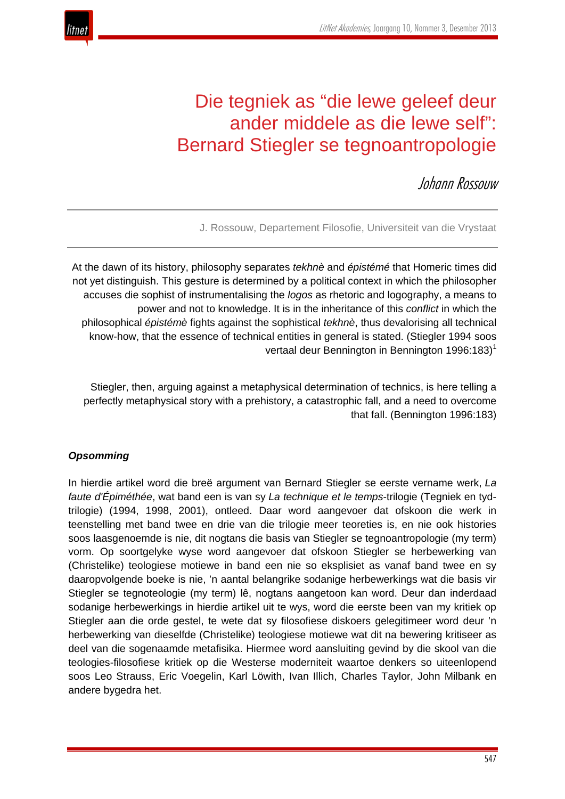

# Die tegniek as "die lewe geleef deur ander middele as die lewe self": Bernard Stiegler se tegnoantropologie

JohannRossouw

J. Rossouw, Departement Filosofie, Universiteit van die Vrystaat

At the dawn of its history, philosophy separates *tekhnè* and *épistémé* that Homeric times did not yet distinguish. This gesture is determined by a political context in which the philosopher accuses die sophist of instrumentalising the *logos* as rhetoric and logography, a means to power and not to knowledge. It is in the inheritance of this *conflict* in which the philosophical *épistémè* fights against the sophistical *tekhnè*, thus devalorising all technical know-how, that the essence of technical entities in general is stated. (Stiegler 1994 soos vertaal deur Bennington in Bennington 1996:183)<sup>1</sup>

Stiegler, then, arguing against a metaphysical determination of technics, is here telling a perfectly metaphysical story with a prehistory, a catastrophic fall, and a need to overcome that fall. (Bennington 1996:183)

## *Opsomming*

In hierdie artikel word die breë argument van Bernard Stiegler se eerste vername werk, *La faute d'Épiméthée*, wat band een is van sy *La technique et le temps*-trilogie (Tegniek en tydtrilogie) (1994, 1998, 2001), ontleed. Daar word aangevoer dat ofskoon die werk in teenstelling met band twee en drie van die trilogie meer teoreties is, en nie ook histories soos laasgenoemde is nie, dit nogtans die basis van Stiegler se tegnoantropologie (my term) vorm. Op soortgelyke wyse word aangevoer dat ofskoon Stiegler se herbewerking van (Christelike) teologiese motiewe in band een nie so eksplisiet as vanaf band twee en sy daaropvolgende boeke is nie, 'n aantal belangrike sodanige herbewerkings wat die basis vir Stiegler se tegnoteologie (my term) lê, nogtans aangetoon kan word. Deur dan inderdaad sodanige herbewerkings in hierdie artikel uit te wys, word die eerste been van my kritiek op Stiegler aan die orde gestel, te wete dat sy filosofiese diskoers gelegitimeer word deur 'n herbewerking van dieselfde (Christelike) teologiese motiewe wat dit na bewering kritiseer as deel van die sogenaamde metafisika. Hiermee word aansluiting gevind by die skool van die teologies-filosofiese kritiek op die Westerse moderniteit waartoe denkers so uiteenlopend soos Leo Strauss, Eric Voegelin, Karl Löwith, Ivan Illich, Charles Taylor, John Milbank en andere bygedra het.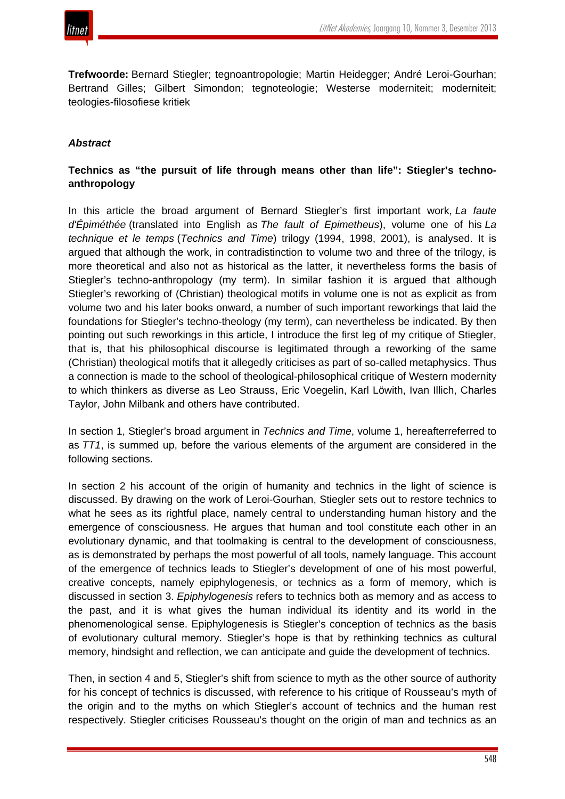

**Trefwoorde:** Bernard Stiegler; tegnoantropologie; Martin Heidegger; André Leroi-Gourhan; Bertrand Gilles; Gilbert Simondon; tegnoteologie; Westerse moderniteit; moderniteit; teologies-filosofiese kritiek

# *Abstract*

# **Technics as "the pursuit of life through means other than life": Stiegler's technoanthropology**

In this article the broad argument of Bernard Stiegler's first important work, *La faute d'Épiméthée* (translated into English as *The fault of Epimetheus*), volume one of his *La technique et le temps* (*Technics and Time*) trilogy (1994, 1998, 2001), is analysed. It is argued that although the work, in contradistinction to volume two and three of the trilogy, is more theoretical and also not as historical as the latter, it nevertheless forms the basis of Stiegler's techno-anthropology (my term). In similar fashion it is argued that although Stiegler's reworking of (Christian) theological motifs in volume one is not as explicit as from volume two and his later books onward, a number of such important reworkings that laid the foundations for Stiegler's techno-theology (my term), can nevertheless be indicated. By then pointing out such reworkings in this article, I introduce the first leg of my critique of Stiegler, that is, that his philosophical discourse is legitimated through a reworking of the same (Christian) theological motifs that it allegedly criticises as part of so-called metaphysics. Thus a connection is made to the school of theological-philosophical critique of Western modernity to which thinkers as diverse as Leo Strauss, Eric Voegelin, Karl Löwith, Ivan Illich, Charles Taylor, John Milbank and others have contributed.

In section 1, Stiegler's broad argument in *Technics and Time*, volume 1, hereafterreferred to as *TT1*, is summed up, before the various elements of the argument are considered in the following sections.

In section 2 his account of the origin of humanity and technics in the light of science is discussed. By drawing on the work of Leroi-Gourhan, Stiegler sets out to restore technics to what he sees as its rightful place, namely central to understanding human history and the emergence of consciousness. He argues that human and tool constitute each other in an evolutionary dynamic, and that toolmaking is central to the development of consciousness, as is demonstrated by perhaps the most powerful of all tools, namely language. This account of the emergence of technics leads to Stiegler's development of one of his most powerful, creative concepts, namely epiphylogenesis, or technics as a form of memory, which is discussed in section 3. *Epiphylogenesis* refers to technics both as memory and as access to the past, and it is what gives the human individual its identity and its world in the phenomenological sense. Epiphylogenesis is Stiegler's conception of technics as the basis of evolutionary cultural memory. Stiegler's hope is that by rethinking technics as cultural memory, hindsight and reflection, we can anticipate and guide the development of technics.

Then, in section 4 and 5, Stiegler's shift from science to myth as the other source of authority for his concept of technics is discussed, with reference to his critique of Rousseau's myth of the origin and to the myths on which Stiegler's account of technics and the human rest respectively. Stiegler criticises Rousseau's thought on the origin of man and technics as an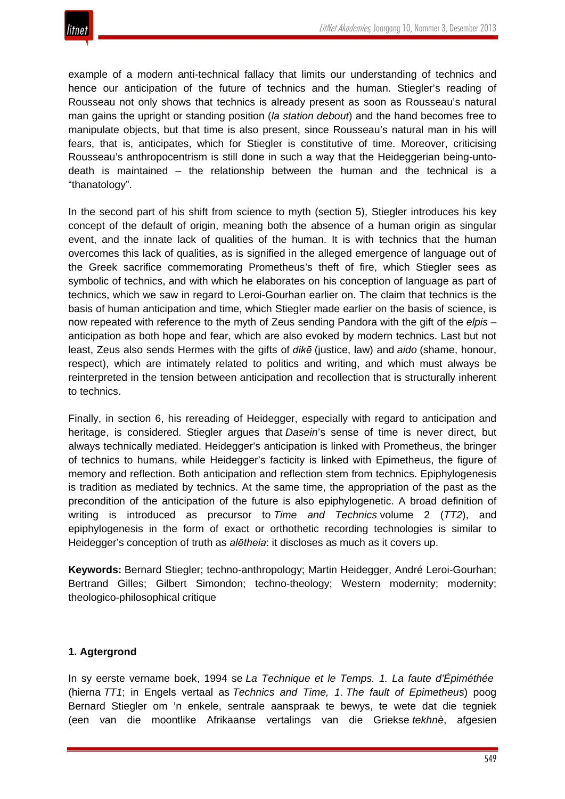

example of a modern anti-technical fallacy that limits our understanding of technics and hence our anticipation of the future of technics and the human. Stiegler's reading of Rousseau not only shows that technics is already present as soon as Rousseau's natural man gains the upright or standing position (*la station debout*) and the hand becomes free to manipulate objects, but that time is also present, since Rousseau's natural man in his will fears, that is, anticipates, which for Stiegler is constitutive of time. Moreover, criticising Rousseau's anthropocentrism is still done in such a way that the Heideggerian being-untodeath is maintained – the relationship between the human and the technical is a "thanatology".

In the second part of his shift from science to myth (section 5), Stiegler introduces his key concept of the default of origin, meaning both the absence of a human origin as singular event, and the innate lack of qualities of the human. It is with technics that the human overcomes this lack of qualities, as is signified in the alleged emergence of language out of the Greek sacrifice commemorating Prometheus's theft of fire, which Stiegler sees as symbolic of technics, and with which he elaborates on his conception of language as part of technics, which we saw in regard to Leroi-Gourhan earlier on. The claim that technics is the basis of human anticipation and time, which Stiegler made earlier on the basis of science, is now repeated with reference to the myth of Zeus sending Pandora with the gift of the *elpis* – anticipation as both hope and fear, which are also evoked by modern technics. Last but not least, Zeus also sends Hermes with the gifts of *dikē* (justice, law) and *aido* (shame, honour, respect), which are intimately related to politics and writing, and which must always be reinterpreted in the tension between anticipation and recollection that is structurally inherent to technics.

Finally, in section 6, his rereading of Heidegger, especially with regard to anticipation and heritage, is considered. Stiegler argues that *Dasein*'s sense of time is never direct, but always technically mediated. Heidegger's anticipation is linked with Prometheus, the bringer of technics to humans, while Heidegger's facticity is linked with Epimetheus, the figure of memory and reflection. Both anticipation and reflection stem from technics. Epiphylogenesis is tradition as mediated by technics. At the same time, the appropriation of the past as the precondition of the anticipation of the future is also epiphylogenetic. A broad definition of writing is introduced as precursor to *Time and Technics* volume 2 (*TT2*), and epiphylogenesis in the form of exact or orthothetic recording technologies is similar to Heidegger's conception of truth as *alētheia*: it discloses as much as it covers up.

**Keywords:** Bernard Stiegler; techno-anthropology; Martin Heidegger, André Leroi-Gourhan; Bertrand Gilles; Gilbert Simondon; techno-theology; Western modernity; modernity; theologico-philosophical critique

# **1. Agtergrond**

In sy eerste vername boek, 1994 se *La Technique et le Temps. 1. La faute d'Épiméthée* (hierna *TT1*; in Engels vertaal as *Technics and Time, 1*. *The fault of Epimetheus*) poog Bernard Stiegler om 'n enkele, sentrale aanspraak te bewys, te wete dat die tegniek (een van die moontlike Afrikaanse vertalings van die Griekse *tekhnè*, afgesien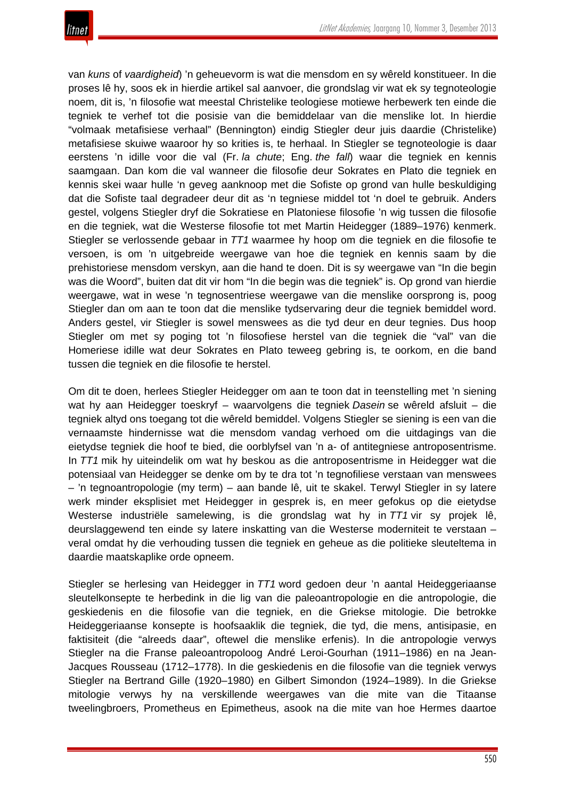

van *kuns* of *vaardigheid*) 'n geheuevorm is wat die mensdom en sy wêreld konstitueer. In die proses lê hy, soos ek in hierdie artikel sal aanvoer, die grondslag vir wat ek sy tegnoteologie noem, dit is, 'n filosofie wat meestal Christelike teologiese motiewe herbewerk ten einde die tegniek te verhef tot die posisie van die bemiddelaar van die menslike lot. In hierdie "volmaak metafisiese verhaal" (Bennington) eindig Stiegler deur juis daardie (Christelike) metafisiese skuiwe waaroor hy so krities is, te herhaal. In Stiegler se tegnoteologie is daar eerstens 'n idille voor die val (Fr. *la chute*; Eng. *the fall*) waar die tegniek en kennis saamgaan. Dan kom die val wanneer die filosofie deur Sokrates en Plato die tegniek en kennis skei waar hulle 'n geveg aanknoop met die Sofiste op grond van hulle beskuldiging dat die Sofiste taal degradeer deur dit as 'n tegniese middel tot 'n doel te gebruik. Anders gestel, volgens Stiegler dryf die Sokratiese en Platoniese filosofie 'n wig tussen die filosofie en die tegniek, wat die Westerse filosofie tot met Martin Heidegger (1889–1976) kenmerk. Stiegler se verlossende gebaar in *TT1* waarmee hy hoop om die tegniek en die filosofie te versoen, is om 'n uitgebreide weergawe van hoe die tegniek en kennis saam by die prehistoriese mensdom verskyn, aan die hand te doen. Dit is sy weergawe van "In die begin was die Woord", buiten dat dit vir hom "In die begin was die tegniek" is. Op grond van hierdie weergawe, wat in wese 'n tegnosentriese weergawe van die menslike oorsprong is, poog Stiegler dan om aan te toon dat die menslike tydservaring deur die tegniek bemiddel word. Anders gestel, vir Stiegler is sowel menswees as die tyd deur en deur tegnies. Dus hoop Stiegler om met sy poging tot 'n filosofiese herstel van die tegniek die "val" van die Homeriese idille wat deur Sokrates en Plato teweeg gebring is, te oorkom, en die band tussen die tegniek en die filosofie te herstel.

Om dit te doen, herlees Stiegler Heidegger om aan te toon dat in teenstelling met 'n siening wat hy aan Heidegger toeskryf – waarvolgens die tegniek *Dasein* se wêreld afsluit – die tegniek altyd ons toegang tot die wêreld bemiddel. Volgens Stiegler se siening is een van die vernaamste hindernisse wat die mensdom vandag verhoed om die uitdagings van die eietydse tegniek die hoof te bied, die oorblyfsel van 'n a- of antitegniese antroposentrisme. In *TT1* mik hy uiteindelik om wat hy beskou as die antroposentrisme in Heidegger wat die potensiaal van Heidegger se denke om by te dra tot 'n tegnofiliese verstaan van menswees – 'n tegnoantropologie (my term) – aan bande lê, uit te skakel. Terwyl Stiegler in sy latere werk minder eksplisiet met Heidegger in gesprek is, en meer gefokus op die eietydse Westerse industriële samelewing, is die grondslag wat hy in *TT1* vir sy projek lê, deurslaggewend ten einde sy latere inskatting van die Westerse moderniteit te verstaan – veral omdat hy die verhouding tussen die tegniek en geheue as die politieke sleuteltema in daardie maatskaplike orde opneem.

Stiegler se herlesing van Heidegger in *TT1* word gedoen deur 'n aantal Heideggeriaanse sleutelkonsepte te herbedink in die lig van die paleoantropologie en die antropologie, die geskiedenis en die filosofie van die tegniek, en die Griekse mitologie. Die betrokke Heideggeriaanse konsepte is hoofsaaklik die tegniek, die tyd, die mens, antisipasie, en faktisiteit (die "alreeds daar", oftewel die menslike erfenis). In die antropologie verwys Stiegler na die Franse paleoantropoloog André Leroi-Gourhan (1911–1986) en na Jean-Jacques Rousseau (1712–1778). In die geskiedenis en die filosofie van die tegniek verwys Stiegler na Bertrand Gille (1920–1980) en Gilbert Simondon (1924–1989). In die Griekse mitologie verwys hy na verskillende weergawes van die mite van die Titaanse tweelingbroers, Prometheus en Epimetheus, asook na die mite van hoe Hermes daartoe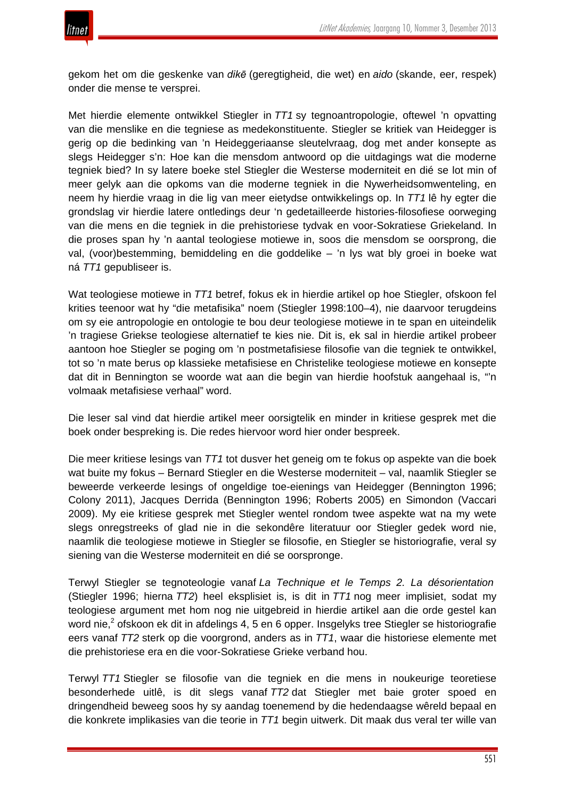

gekom het om die geskenke van *dikē* (geregtigheid, die wet) en *aido* (skande, eer, respek) onder die mense te versprei.

Met hierdie elemente ontwikkel Stiegler in *TT1* sy tegnoantropologie, oftewel 'n opvatting van die menslike en die tegniese as medekonstituente. Stiegler se kritiek van Heidegger is gerig op die bedinking van 'n Heideggeriaanse sleutelvraag, dog met ander konsepte as slegs Heidegger s'n: Hoe kan die mensdom antwoord op die uitdagings wat die moderne tegniek bied? In sy latere boeke stel Stiegler die Westerse moderniteit en dié se lot min of meer gelyk aan die opkoms van die moderne tegniek in die Nywerheidsomwenteling, en neem hy hierdie vraag in die lig van meer eietydse ontwikkelings op. In *TT1* lê hy egter die grondslag vir hierdie latere ontledings deur 'n gedetailleerde histories-filosofiese oorweging van die mens en die tegniek in die prehistoriese tydvak en voor-Sokratiese Griekeland. In die proses span hy 'n aantal teologiese motiewe in, soos die mensdom se oorsprong, die val, (voor)bestemming, bemiddeling en die goddelike – 'n lys wat bly groei in boeke wat ná *TT1* gepubliseer is.

Wat teologiese motiewe in *TT1* betref, fokus ek in hierdie artikel op hoe Stiegler, ofskoon fel krities teenoor wat hy "die metafisika" noem (Stiegler 1998:100–4), nie daarvoor terugdeins om sy eie antropologie en ontologie te bou deur teologiese motiewe in te span en uiteindelik 'n tragiese Griekse teologiese alternatief te kies nie. Dit is, ek sal in hierdie artikel probeer aantoon hoe Stiegler se poging om 'n postmetafisiese filosofie van die tegniek te ontwikkel, tot so 'n mate berus op klassieke metafisiese en Christelike teologiese motiewe en konsepte dat dit in Bennington se woorde wat aan die begin van hierdie hoofstuk aangehaal is, "'n volmaak metafisiese verhaal" word.

Die leser sal vind dat hierdie artikel meer oorsigtelik en minder in kritiese gesprek met die boek onder bespreking is. Die redes hiervoor word hier onder bespreek.

Die meer kritiese lesings van *TT1* tot dusver het geneig om te fokus op aspekte van die boek wat buite my fokus – Bernard Stiegler en die Westerse moderniteit – val, naamlik Stiegler se beweerde verkeerde lesings of ongeldige toe-eienings van Heidegger (Bennington 1996; Colony 2011), Jacques Derrida (Bennington 1996; Roberts 2005) en Simondon (Vaccari 2009). My eie kritiese gesprek met Stiegler wentel rondom twee aspekte wat na my wete slegs onregstreeks of glad nie in die sekondêre literatuur oor Stiegler gedek word nie, naamlik die teologiese motiewe in Stiegler se filosofie, en Stiegler se historiografie, veral sy siening van die Westerse moderniteit en dié se oorspronge.

Terwyl Stiegler se tegnoteologie vanaf *La Technique et le Temps 2. La désorientation* (Stiegler 1996; hierna *TT2*) heel eksplisiet is, is dit in *TT1* nog meer implisiet, sodat my teologiese argument met hom nog nie uitgebreid in hierdie artikel aan die orde gestel kan word nie,<sup>2</sup> ofskoon ek dit in afdelings 4, 5 en 6 opper. Insgelyks tree Stiegler se historiografie eers vanaf *TT2* sterk op die voorgrond, anders as in *TT1*, waar die historiese elemente met die prehistoriese era en die voor-Sokratiese Grieke verband hou.

Terwyl *TT1* Stiegler se filosofie van die tegniek en die mens in noukeurige teoretiese besonderhede uitlê, is dit slegs vanaf *TT2* dat Stiegler met baie groter spoed en dringendheid beweeg soos hy sy aandag toenemend by die hedendaagse wêreld bepaal en die konkrete implikasies van die teorie in *TT1* begin uitwerk. Dit maak dus veral ter wille van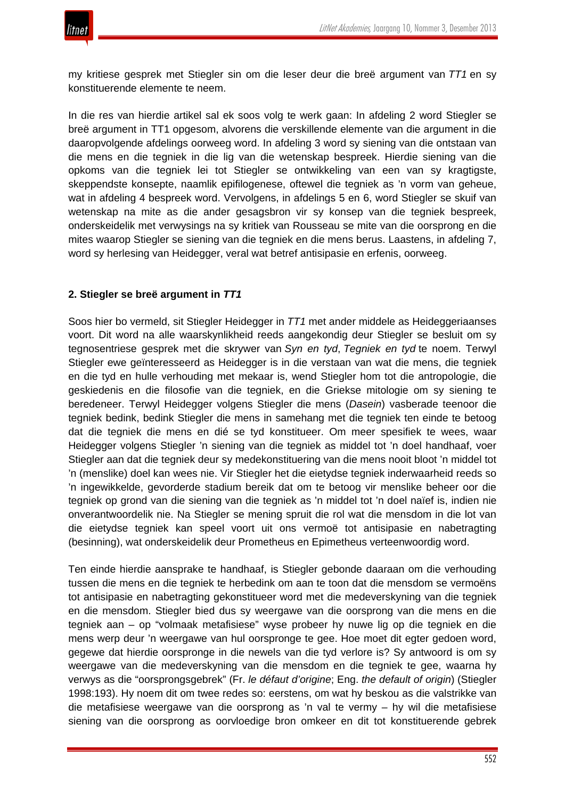

my kritiese gesprek met Stiegler sin om die leser deur die breë argument van *TT1* en sy konstituerende elemente te neem.

In die res van hierdie artikel sal ek soos volg te werk gaan: In afdeling 2 word Stiegler se breë argument in TT1 opgesom, alvorens die verskillende elemente van die argument in die daaropvolgende afdelings oorweeg word. In afdeling 3 word sy siening van die ontstaan van die mens en die tegniek in die lig van die wetenskap bespreek. Hierdie siening van die opkoms van die tegniek lei tot Stiegler se ontwikkeling van een van sy kragtigste, skeppendste konsepte, naamlik epifilogenese, oftewel die tegniek as 'n vorm van geheue, wat in afdeling 4 bespreek word. Vervolgens, in afdelings 5 en 6, word Stiegler se skuif van wetenskap na mite as die ander gesagsbron vir sy konsep van die tegniek bespreek, onderskeidelik met verwysings na sy kritiek van Rousseau se mite van die oorsprong en die mites waarop Stiegler se siening van die tegniek en die mens berus. Laastens, in afdeling 7, word sy herlesing van Heidegger, veral wat betref antisipasie en erfenis, oorweeg.

# **2. Stiegler se breë argument in** *TT1*

Soos hier bo vermeld, sit Stiegler Heidegger in *TT1* met ander middele as Heideggeriaanses voort. Dit word na alle waarskynlikheid reeds aangekondig deur Stiegler se besluit om sy tegnosentriese gesprek met die skrywer van *Syn en tyd*, *Tegniek en tyd* te noem. Terwyl Stiegler ewe geïnteresseerd as Heidegger is in die verstaan van wat die mens, die tegniek en die tyd en hulle verhouding met mekaar is, wend Stiegler hom tot die antropologie, die geskiedenis en die filosofie van die tegniek, en die Griekse mitologie om sy siening te beredeneer. Terwyl Heidegger volgens Stiegler die mens (*Dasein*) vasberade teenoor die tegniek bedink, bedink Stiegler die mens in samehang met die tegniek ten einde te betoog dat die tegniek die mens en dié se tyd konstitueer. Om meer spesifiek te wees, waar Heidegger volgens Stiegler 'n siening van die tegniek as middel tot 'n doel handhaaf, voer Stiegler aan dat die tegniek deur sy medekonstituering van die mens nooit bloot 'n middel tot 'n (menslike) doel kan wees nie. Vir Stiegler het die eietydse tegniek inderwaarheid reeds so 'n ingewikkelde, gevorderde stadium bereik dat om te betoog vir menslike beheer oor die tegniek op grond van die siening van die tegniek as 'n middel tot 'n doel naïef is, indien nie onverantwoordelik nie. Na Stiegler se mening spruit die rol wat die mensdom in die lot van die eietydse tegniek kan speel voort uit ons vermoë tot antisipasie en nabetragting (besinning), wat onderskeidelik deur Prometheus en Epimetheus verteenwoordig word.

Ten einde hierdie aansprake te handhaaf, is Stiegler gebonde daaraan om die verhouding tussen die mens en die tegniek te herbedink om aan te toon dat die mensdom se vermoëns tot antisipasie en nabetragting gekonstitueer word met die medeverskyning van die tegniek en die mensdom. Stiegler bied dus sy weergawe van die oorsprong van die mens en die tegniek aan – op "volmaak metafisiese" wyse probeer hy nuwe lig op die tegniek en die mens werp deur 'n weergawe van hul oorspronge te gee. Hoe moet dit egter gedoen word, gegewe dat hierdie oorspronge in die newels van die tyd verlore is? Sy antwoord is om sy weergawe van die medeverskyning van die mensdom en die tegniek te gee, waarna hy verwys as die "oorsprongsgebrek" (Fr. *le défaut d'origine*; Eng. *the default of origin*) (Stiegler 1998:193). Hy noem dit om twee redes so: eerstens, om wat hy beskou as die valstrikke van die metafisiese weergawe van die oorsprong as 'n val te vermy – hy wil die metafisiese siening van die oorsprong as oorvloedige bron omkeer en dit tot konstituerende gebrek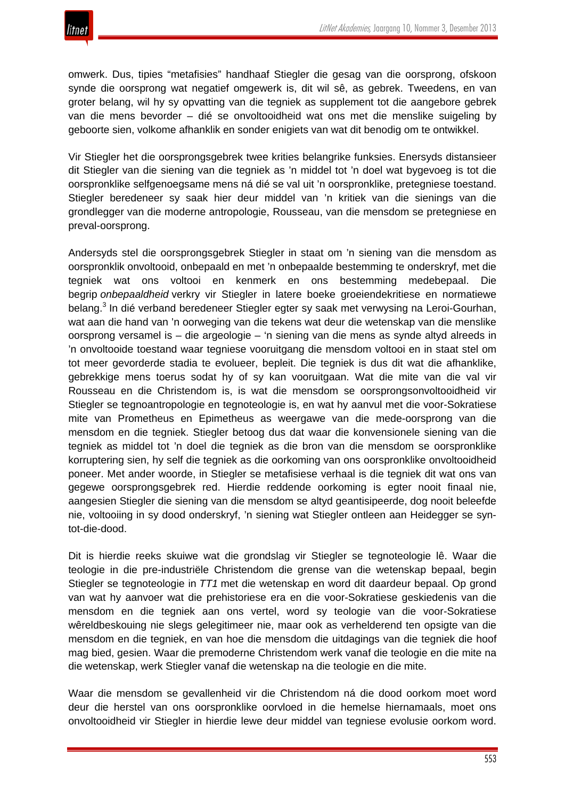

omwerk. Dus, tipies "metafisies" handhaaf Stiegler die gesag van die oorsprong, ofskoon synde die oorsprong wat negatief omgewerk is, dit wil sê, as gebrek. Tweedens, en van groter belang, wil hy sy opvatting van die tegniek as supplement tot die aangebore gebrek van die mens bevorder – dié se onvoltooidheid wat ons met die menslike suigeling by geboorte sien, volkome afhanklik en sonder enigiets van wat dit benodig om te ontwikkel.

Vir Stiegler het die oorsprongsgebrek twee krities belangrike funksies. Enersyds distansieer dit Stiegler van die siening van die tegniek as 'n middel tot 'n doel wat bygevoeg is tot die oorspronklike selfgenoegsame mens ná dié se val uit 'n oorspronklike, pretegniese toestand. Stiegler beredeneer sy saak hier deur middel van 'n kritiek van die sienings van die grondlegger van die moderne antropologie, Rousseau, van die mensdom se pretegniese en preval-oorsprong.

Andersyds stel die oorsprongsgebrek Stiegler in staat om 'n siening van die mensdom as oorspronklik onvoltooid, onbepaald en met 'n onbepaalde bestemming te onderskryf, met die tegniek wat ons voltooi en kenmerk en ons bestemming medebepaal. Die begrip *onbepaaldheid* verkry vir Stiegler in latere boeke groeiendekritiese en normatiewe belang.<sup>3</sup> In dié verband beredeneer Stiegler egter sy saak met verwysing na Leroi-Gourhan, wat aan die hand van 'n oorweging van die tekens wat deur die wetenskap van die menslike oorsprong versamel is – die argeologie – 'n siening van die mens as synde altyd alreeds in 'n onvoltooide toestand waar tegniese vooruitgang die mensdom voltooi en in staat stel om tot meer gevorderde stadia te evolueer, bepleit. Die tegniek is dus dit wat die afhanklike, gebrekkige mens toerus sodat hy of sy kan vooruitgaan. Wat die mite van die val vir Rousseau en die Christendom is, is wat die mensdom se oorsprongsonvoltooidheid vir Stiegler se tegnoantropologie en tegnoteologie is, en wat hy aanvul met die voor-Sokratiese mite van Prometheus en Epimetheus as weergawe van die mede-oorsprong van die mensdom en die tegniek. Stiegler betoog dus dat waar die konvensionele siening van die tegniek as middel tot 'n doel die tegniek as die bron van die mensdom se oorspronklike korruptering sien, hy self die tegniek as die oorkoming van ons oorspronklike onvoltooidheid poneer. Met ander woorde, in Stiegler se metafisiese verhaal is die tegniek dit wat ons van gegewe oorsprongsgebrek red. Hierdie reddende oorkoming is egter nooit finaal nie, aangesien Stiegler die siening van die mensdom se altyd geantisipeerde, dog nooit beleefde nie, voltooiing in sy dood onderskryf, 'n siening wat Stiegler ontleen aan Heidegger se syntot-die-dood.

Dit is hierdie reeks skuiwe wat die grondslag vir Stiegler se tegnoteologie lê. Waar die teologie in die pre-industriële Christendom die grense van die wetenskap bepaal, begin Stiegler se tegnoteologie in *TT1* met die wetenskap en word dit daardeur bepaal. Op grond van wat hy aanvoer wat die prehistoriese era en die voor-Sokratiese geskiedenis van die mensdom en die tegniek aan ons vertel, word sy teologie van die voor-Sokratiese wêreldbeskouing nie slegs gelegitimeer nie, maar ook as verhelderend ten opsigte van die mensdom en die tegniek, en van hoe die mensdom die uitdagings van die tegniek die hoof mag bied, gesien. Waar die premoderne Christendom werk vanaf die teologie en die mite na die wetenskap, werk Stiegler vanaf die wetenskap na die teologie en die mite.

Waar die mensdom se gevallenheid vir die Christendom ná die dood oorkom moet word deur die herstel van ons oorspronklike oorvloed in die hemelse hiernamaals, moet ons onvoltooidheid vir Stiegler in hierdie lewe deur middel van tegniese evolusie oorkom word.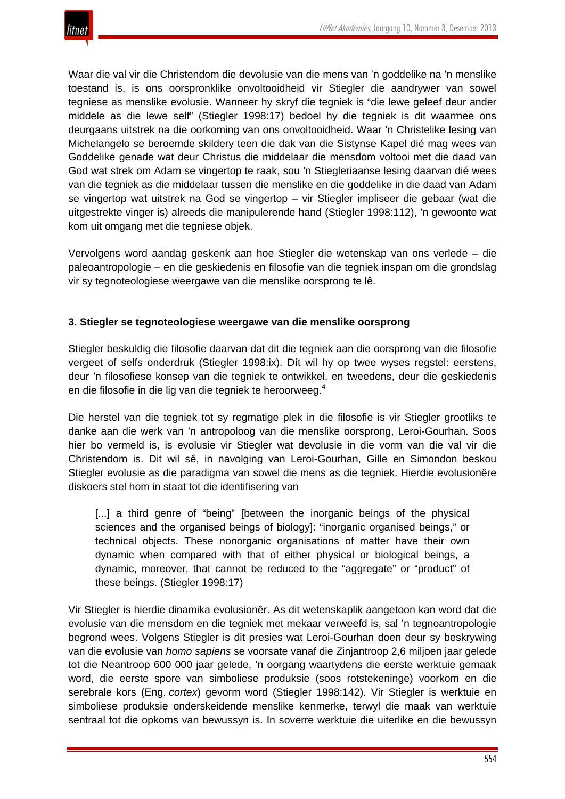

Waar die val vir die Christendom die devolusie van die mens van 'n goddelike na 'n menslike toestand is, is ons oorspronklike onvoltooidheid vir Stiegler die aandrywer van sowel tegniese as menslike evolusie. Wanneer hy skryf die tegniek is "die lewe geleef deur ander middele as die lewe self" (Stiegler 1998:17) bedoel hy die tegniek is dit waarmee ons deurgaans uitstrek na die oorkoming van ons onvoltooidheid. Waar 'n Christelike lesing van Michelangelo se beroemde skildery teen die dak van die Sistynse Kapel dié mag wees van Goddelike genade wat deur Christus die middelaar die mensdom voltooi met die daad van God wat strek om Adam se vingertop te raak, sou 'n Stiegleriaanse lesing daarvan dié wees van die tegniek as die middelaar tussen die menslike en die goddelike in die daad van Adam se vingertop wat uitstrek na God se vingertop – vir Stiegler impliseer die gebaar (wat die uitgestrekte vinger is) alreeds die manipulerende hand (Stiegler 1998:112), 'n gewoonte wat kom uit omgang met die tegniese objek.

Vervolgens word aandag geskenk aan hoe Stiegler die wetenskap van ons verlede – die paleoantropologie – en die geskiedenis en filosofie van die tegniek inspan om die grondslag vir sy tegnoteologiese weergawe van die menslike oorsprong te lê.

## **3. Stiegler se tegnoteologiese weergawe van die menslike oorsprong**

Stiegler beskuldig die filosofie daarvan dat dit die tegniek aan die oorsprong van die filosofie vergeet of selfs onderdruk (Stiegler 1998:ix). Dít wil hy op twee wyses regstel: eerstens, deur 'n filosofiese konsep van die tegniek te ontwikkel, en tweedens, deur die geskiedenis en die filosofie in die lig van die tegniek te heroorweeg.<sup>4</sup>

Die herstel van die tegniek tot sy regmatige plek in die filosofie is vir Stiegler grootliks te danke aan die werk van 'n antropoloog van die menslike oorsprong, Leroi-Gourhan. Soos hier bo vermeld is, is evolusie vir Stiegler wat devolusie in die vorm van die val vir die Christendom is. Dit wil sê, in navolging van Leroi-Gourhan, Gille en Simondon beskou Stiegler evolusie as die paradigma van sowel die mens as die tegniek. Hierdie evolusionêre diskoers stel hom in staat tot die identifisering van

[...] a third genre of "being" [between the inorganic beings of the physical sciences and the organised beings of biology]: "inorganic organised beings," or technical objects. These nonorganic organisations of matter have their own dynamic when compared with that of either physical or biological beings, a dynamic, moreover, that cannot be reduced to the "aggregate" or "product" of these beings. (Stiegler 1998:17)

Vir Stiegler is hierdie dinamika evolusionêr. As dit wetenskaplik aangetoon kan word dat die evolusie van die mensdom en die tegniek met mekaar verweefd is, sal 'n tegnoantropologie begrond wees. Volgens Stiegler is dit presies wat Leroi-Gourhan doen deur sy beskrywing van die evolusie van *homo sapiens* se voorsate vanaf die Zinjantroop 2,6 miljoen jaar gelede tot die Neantroop 600 000 jaar gelede, 'n oorgang waartydens die eerste werktuie gemaak word, die eerste spore van simboliese produksie (soos rotstekeninge) voorkom en die serebrale kors (Eng. *cortex*) gevorm word (Stiegler 1998:142). Vir Stiegler is werktuie en simboliese produksie onderskeidende menslike kenmerke, terwyl die maak van werktuie sentraal tot die opkoms van bewussyn is. In soverre werktuie die uiterlike en die bewussyn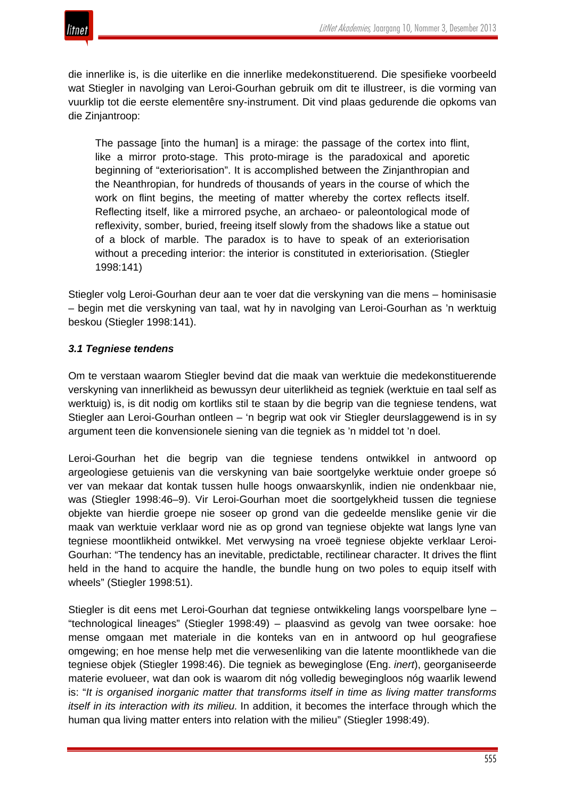

die innerlike is, is die uiterlike en die innerlike medekonstituerend. Die spesifieke voorbeeld wat Stiegler in navolging van Leroi-Gourhan gebruik om dit te illustreer, is die vorming van vuurklip tot die eerste elementêre sny-instrument. Dit vind plaas gedurende die opkoms van die Zinjantroop:

The passage [into the human] is a mirage: the passage of the cortex into flint, like a mirror proto-stage. This proto-mirage is the paradoxical and aporetic beginning of "exteriorisation". It is accomplished between the Zinjanthropian and the Neanthropian, for hundreds of thousands of years in the course of which the work on flint begins, the meeting of matter whereby the cortex reflects itself. Reflecting itself, like a mirrored psyche, an archaeo- or paleontological mode of reflexivity, somber, buried, freeing itself slowly from the shadows like a statue out of a block of marble. The paradox is to have to speak of an exteriorisation without a preceding interior: the interior is constituted in exteriorisation. (Stiegler 1998:141)

Stiegler volg Leroi-Gourhan deur aan te voer dat die verskyning van die mens – hominisasie – begin met die verskyning van taal, wat hy in navolging van Leroi-Gourhan as 'n werktuig beskou (Stiegler 1998:141).

# *3.1 Tegniese tendens*

Om te verstaan waarom Stiegler bevind dat die maak van werktuie die medekonstituerende verskyning van innerlikheid as bewussyn deur uiterlikheid as tegniek (werktuie en taal self as werktuig) is, is dit nodig om kortliks stil te staan by die begrip van die tegniese tendens, wat Stiegler aan Leroi-Gourhan ontleen – 'n begrip wat ook vir Stiegler deurslaggewend is in sy argument teen die konvensionele siening van die tegniek as 'n middel tot 'n doel.

Leroi-Gourhan het die begrip van die tegniese tendens ontwikkel in antwoord op argeologiese getuienis van die verskyning van baie soortgelyke werktuie onder groepe só ver van mekaar dat kontak tussen hulle hoogs onwaarskynlik, indien nie ondenkbaar nie, was (Stiegler 1998:46–9). Vir Leroi-Gourhan moet die soortgelykheid tussen die tegniese objekte van hierdie groepe nie soseer op grond van die gedeelde menslike genie vir die maak van werktuie verklaar word nie as op grond van tegniese objekte wat langs lyne van tegniese moontlikheid ontwikkel. Met verwysing na vroeë tegniese objekte verklaar Leroi-Gourhan: "The tendency has an inevitable, predictable, rectilinear character. It drives the flint held in the hand to acquire the handle, the bundle hung on two poles to equip itself with wheels" (Stiegler 1998:51).

Stiegler is dit eens met Leroi-Gourhan dat tegniese ontwikkeling langs voorspelbare lyne – "technological lineages" (Stiegler 1998:49) – plaasvind as gevolg van twee oorsake: hoe mense omgaan met materiale in die konteks van en in antwoord op hul geografiese omgewing; en hoe mense help met die verwesenliking van die latente moontlikhede van die tegniese objek (Stiegler 1998:46). Die tegniek as beweginglose (Eng. *inert*), georganiseerde materie evolueer, wat dan ook is waarom dit nóg volledig bewegingloos nóg waarlik lewend is: "*It is organised inorganic matter that transforms itself in time as living matter transforms itself in its interaction with its milieu.* In addition, it becomes the interface through which the human qua living matter enters into relation with the milieu" (Stiegler 1998:49).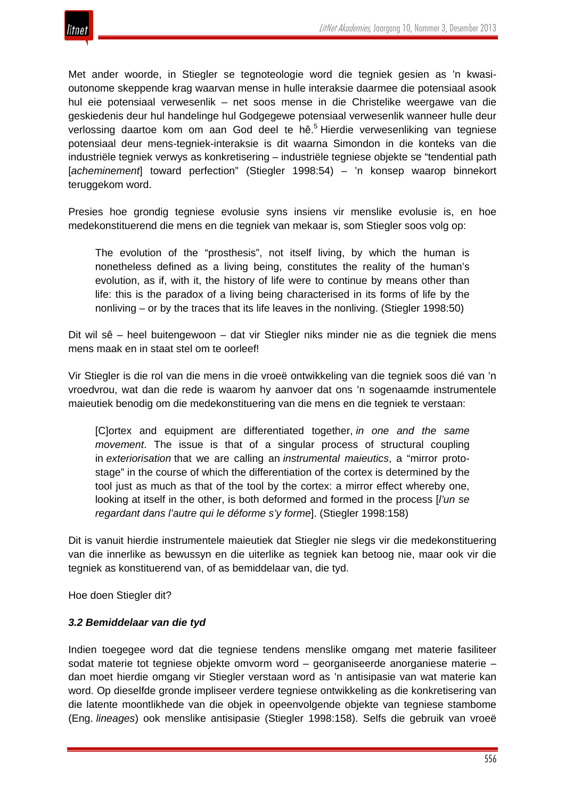

Met ander woorde, in Stiegler se tegnoteologie word die tegniek gesien as 'n kwasioutonome skeppende krag waarvan mense in hulle interaksie daarmee die potensiaal asook hul eie potensiaal verwesenlik – net soos mense in die Christelike weergawe van die geskiedenis deur hul handelinge hul Godgegewe potensiaal verwesenlik wanneer hulle deur verlossing daartoe kom om aan God deel te hê.<sup>5</sup> Hierdie verwesenliking van tegniese potensiaal deur mens-tegniek-interaksie is dit waarna Simondon in die konteks van die industriële tegniek verwys as konkretisering – industriële tegniese objekte se "tendential path [*acheminement*] toward perfection" (Stiegler 1998:54) – 'n konsep waarop binnekort teruggekom word.

Presies hoe grondig tegniese evolusie syns insiens vir menslike evolusie is, en hoe medekonstituerend die mens en die tegniek van mekaar is, som Stiegler soos volg op:

The evolution of the "prosthesis", not itself living, by which the human is nonetheless defined as a living being, constitutes the reality of the human's evolution, as if, with it, the history of life were to continue by means other than life: this is the paradox of a living being characterised in its forms of life by the nonliving – or by the traces that its life leaves in the nonliving. (Stiegler 1998:50)

Dit wil sê – heel buitengewoon – dat vir Stiegler niks minder nie as die tegniek die mens mens maak en in staat stel om te oorleef!

Vir Stiegler is die rol van die mens in die vroeë ontwikkeling van die tegniek soos dié van 'n vroedvrou, wat dan die rede is waarom hy aanvoer dat ons 'n sogenaamde instrumentele maieutiek benodig om die medekonstituering van die mens en die tegniek te verstaan:

[C]ortex and equipment are differentiated together, *in one and the same movement*. The issue is that of a singular process of structural coupling in *exteriorisation* that we are calling an *instrumental maieutics*, a "mirror protostage" in the course of which the differentiation of the cortex is determined by the tool just as much as that of the tool by the cortex: a mirror effect whereby one, looking at itself in the other, is both deformed and formed in the process [*l'un se regardant dans l'autre qui le déforme s'y forme*]. (Stiegler 1998:158)

Dit is vanuit hierdie instrumentele maieutiek dat Stiegler nie slegs vir die medekonstituering van die innerlike as bewussyn en die uiterlike as tegniek kan betoog nie, maar ook vir die tegniek as konstituerend van, of as bemiddelaar van, die tyd.

Hoe doen Stiegler dit?

## *3.2 Bemiddelaar van die tyd*

Indien toegegee word dat die tegniese tendens menslike omgang met materie fasiliteer sodat materie tot tegniese objekte omvorm word – georganiseerde anorganiese materie – dan moet hierdie omgang vir Stiegler verstaan word as 'n antisipasie van wat materie kan word. Op dieselfde gronde impliseer verdere tegniese ontwikkeling as die konkretisering van die latente moontlikhede van die objek in opeenvolgende objekte van tegniese stambome (Eng. *lineages*) ook menslike antisipasie (Stiegler 1998:158). Selfs die gebruik van vroeë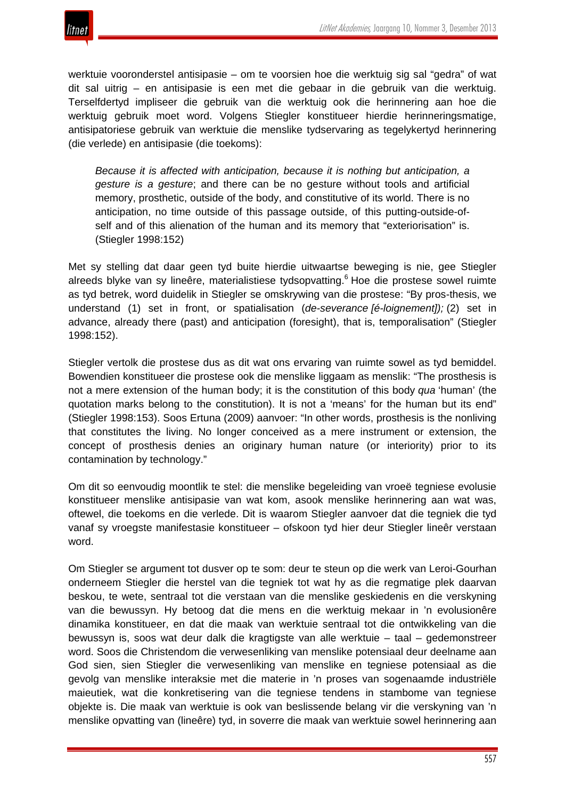



werktuie vooronderstel antisipasie – om te voorsien hoe die werktuig sig sal "gedra" of wat dit sal uitrig – en antisipasie is een met die gebaar in die gebruik van die werktuig. Terselfdertyd impliseer die gebruik van die werktuig ook die herinnering aan hoe die werktuig gebruik moet word. Volgens Stiegler konstitueer hierdie herinneringsmatige, antisipatoriese gebruik van werktuie die menslike tydservaring as tegelykertyd herinnering (die verlede) en antisipasie (die toekoms):

*Because it is affected with anticipation, because it is nothing but anticipation, a gesture is a gesture*; and there can be no gesture without tools and artificial memory, prosthetic, outside of the body, and constitutive of its world. There is no anticipation, no time outside of this passage outside, of this putting-outside-ofself and of this alienation of the human and its memory that "exteriorisation" is. (Stiegler 1998:152)

Met sy stelling dat daar geen tyd buite hierdie uitwaartse beweging is nie, gee Stiegler alreeds blyke van sy lineêre, materialistiese tydsopvatting.<sup>6</sup> Hoe die prostese sowel ruimte as tyd betrek, word duidelik in Stiegler se omskrywing van die prostese: "By pros-thesis, we understand (1) set in front, or spatialisation (*de-severance [é-loignement]);* (2) set in advance, already there (past) and anticipation (foresight), that is, temporalisation" (Stiegler 1998:152).

Stiegler vertolk die prostese dus as dit wat ons ervaring van ruimte sowel as tyd bemiddel. Bowendien konstitueer die prostese ook die menslike liggaam as menslik: "The prosthesis is not a mere extension of the human body; it is the constitution of this body *qua* 'human' (the quotation marks belong to the constitution). It is not a 'means' for the human but its end" (Stiegler 1998:153). Soos Ertuna (2009) aanvoer: "In other words, prosthesis is the nonliving that constitutes the living. No longer conceived as a mere instrument or extension, the concept of prosthesis denies an originary human nature (or interiority) prior to its contamination by technology."

Om dit so eenvoudig moontlik te stel: die menslike begeleiding van vroeë tegniese evolusie konstitueer menslike antisipasie van wat kom, asook menslike herinnering aan wat was, oftewel, die toekoms en die verlede. Dit is waarom Stiegler aanvoer dat die tegniek die tyd vanaf sy vroegste manifestasie konstitueer – ofskoon tyd hier deur Stiegler lineêr verstaan word.

Om Stiegler se argument tot dusver op te som: deur te steun op die werk van Leroi-Gourhan onderneem Stiegler die herstel van die tegniek tot wat hy as die regmatige plek daarvan beskou, te wete, sentraal tot die verstaan van die menslike geskiedenis en die verskyning van die bewussyn. Hy betoog dat die mens en die werktuig mekaar in 'n evolusionêre dinamika konstitueer, en dat die maak van werktuie sentraal tot die ontwikkeling van die bewussyn is, soos wat deur dalk die kragtigste van alle werktuie – taal – gedemonstreer word. Soos die Christendom die verwesenliking van menslike potensiaal deur deelname aan God sien, sien Stiegler die verwesenliking van menslike en tegniese potensiaal as die gevolg van menslike interaksie met die materie in 'n proses van sogenaamde industriële maieutiek, wat die konkretisering van die tegniese tendens in stambome van tegniese objekte is. Die maak van werktuie is ook van beslissende belang vir die verskyning van 'n menslike opvatting van (lineêre) tyd, in soverre die maak van werktuie sowel herinnering aan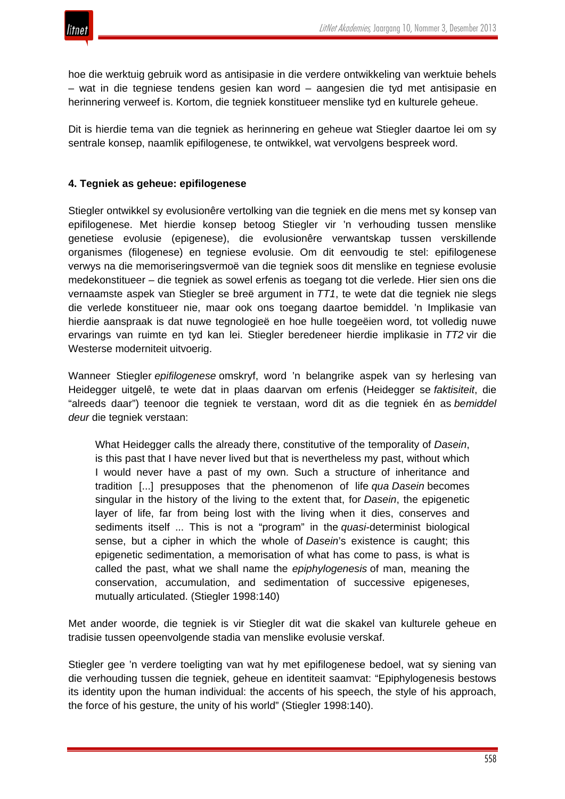hoe die werktuig gebruik word as antisipasie in die verdere ontwikkeling van werktuie behels – wat in die tegniese tendens gesien kan word – aangesien die tyd met antisipasie en herinnering verweef is. Kortom, die tegniek konstitueer menslike tyd en kulturele geheue.

Dit is hierdie tema van die tegniek as herinnering en geheue wat Stiegler daartoe lei om sy sentrale konsep, naamlik epifilogenese, te ontwikkel, wat vervolgens bespreek word.

## **4. Tegniek as geheue: epifilogenese**

Stiegler ontwikkel sy evolusionêre vertolking van die tegniek en die mens met sy konsep van epifilogenese. Met hierdie konsep betoog Stiegler vir 'n verhouding tussen menslike genetiese evolusie (epigenese), die evolusionêre verwantskap tussen verskillende organismes (filogenese) en tegniese evolusie. Om dit eenvoudig te stel: epifilogenese verwys na die memoriseringsvermoë van die tegniek soos dit menslike en tegniese evolusie medekonstitueer – die tegniek as sowel erfenis as toegang tot die verlede. Hier sien ons die vernaamste aspek van Stiegler se breë argument in *TT1*, te wete dat die tegniek nie slegs die verlede konstitueer nie, maar ook ons toegang daartoe bemiddel. 'n Implikasie van hierdie aanspraak is dat nuwe tegnologieë en hoe hulle toegeëien word, tot volledig nuwe ervarings van ruimte en tyd kan lei. Stiegler beredeneer hierdie implikasie in *TT2* vir die Westerse moderniteit uitvoerig.

Wanneer Stiegler *epifilogenese* omskryf, word 'n belangrike aspek van sy herlesing van Heidegger uitgelê, te wete dat in plaas daarvan om erfenis (Heidegger se *faktisiteit*, die "alreeds daar") teenoor die tegniek te verstaan, word dit as die tegniek én as *bemiddel deur* die tegniek verstaan:

What Heidegger calls the already there, constitutive of the temporality of *Dasein*, is this past that I have never lived but that is nevertheless my past, without which I would never have a past of my own. Such a structure of inheritance and tradition [...] presupposes that the phenomenon of life *qua Dasein* becomes singular in the history of the living to the extent that, for *Dasein*, the epigenetic layer of life, far from being lost with the living when it dies, conserves and sediments itself ... This is not a "program" in the *quasi*-determinist biological sense, but a cipher in which the whole of *Dasein*'s existence is caught; this epigenetic sedimentation, a memorisation of what has come to pass, is what is called the past, what we shall name the *epiphylogenesis* of man, meaning the conservation, accumulation, and sedimentation of successive epigeneses, mutually articulated. (Stiegler 1998:140)

Met ander woorde, die tegniek is vir Stiegler dit wat die skakel van kulturele geheue en tradisie tussen opeenvolgende stadia van menslike evolusie verskaf.

Stiegler gee 'n verdere toeligting van wat hy met epifilogenese bedoel, wat sy siening van die verhouding tussen die tegniek, geheue en identiteit saamvat: "Epiphylogenesis bestows its identity upon the human individual: the accents of his speech, the style of his approach, the force of his gesture, the unity of his world" (Stiegler 1998:140).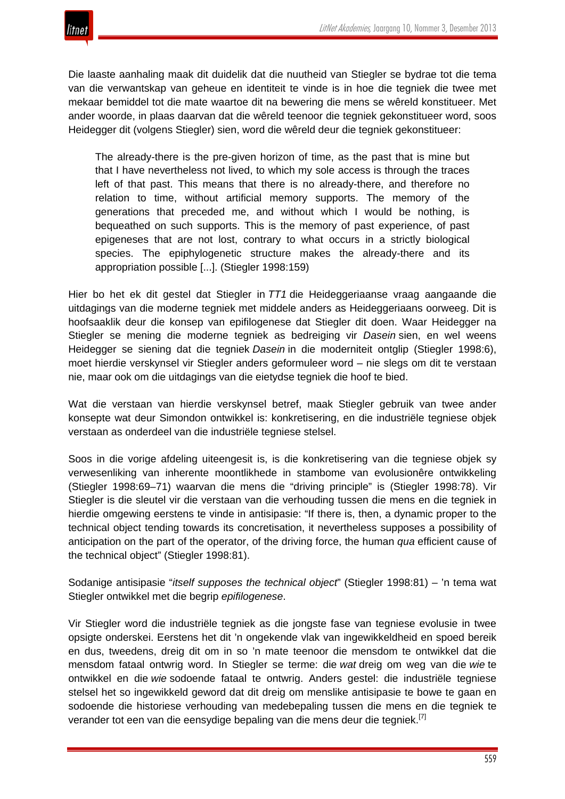

Die laaste aanhaling maak dit duidelik dat die nuutheid van Stiegler se bydrae tot die tema van die verwantskap van geheue en identiteit te vinde is in hoe die tegniek die twee met mekaar bemiddel tot die mate waartoe dit na bewering die mens se wêreld konstitueer. Met ander woorde, in plaas daarvan dat die wêreld teenoor die tegniek gekonstitueer word, soos Heidegger dit (volgens Stiegler) sien, word die wêreld deur die tegniek gekonstitueer:

The already-there is the pre-given horizon of time, as the past that is mine but that I have nevertheless not lived, to which my sole access is through the traces left of that past. This means that there is no already-there, and therefore no relation to time, without artificial memory supports. The memory of the generations that preceded me, and without which I would be nothing, is bequeathed on such supports. This is the memory of past experience, of past epigeneses that are not lost, contrary to what occurs in a strictly biological species. The epiphylogenetic structure makes the already-there and its appropriation possible [...]. (Stiegler 1998:159)

Hier bo het ek dit gestel dat Stiegler in *TT1* die Heideggeriaanse vraag aangaande die uitdagings van die moderne tegniek met middele anders as Heideggeriaans oorweeg. Dit is hoofsaaklik deur die konsep van epifilogenese dat Stiegler dit doen. Waar Heidegger na Stiegler se mening die moderne tegniek as bedreiging vir *Dasein* sien, en wel weens Heidegger se siening dat die tegniek *Dasein* in die moderniteit ontglip (Stiegler 1998:6), moet hierdie verskynsel vir Stiegler anders geformuleer word – nie slegs om dit te verstaan nie, maar ook om die uitdagings van die eietydse tegniek die hoof te bied.

Wat die verstaan van hierdie verskynsel betref, maak Stiegler gebruik van twee ander konsepte wat deur Simondon ontwikkel is: konkretisering, en die industriële tegniese objek verstaan as onderdeel van die industriële tegniese stelsel.

Soos in die vorige afdeling uiteengesit is, is die konkretisering van die tegniese objek sy verwesenliking van inherente moontlikhede in stambome van evolusionêre ontwikkeling (Stiegler 1998:69–71) waarvan die mens die "driving principle" is (Stiegler 1998:78). Vir Stiegler is die sleutel vir die verstaan van die verhouding tussen die mens en die tegniek in hierdie omgewing eerstens te vinde in antisipasie: "If there is, then, a dynamic proper to the technical object tending towards its concretisation, it nevertheless supposes a possibility of anticipation on the part of the operator, of the driving force, the human *qua* efficient cause of the technical object" (Stiegler 1998:81).

Sodanige antisipasie "*itself supposes the technical object*" (Stiegler 1998:81) – 'n tema wat Stiegler ontwikkel met die begrip *epifilogenese*.

Vir Stiegler word die industriële tegniek as die jongste fase van tegniese evolusie in twee opsigte onderskei. Eerstens het dit 'n ongekende vlak van ingewikkeldheid en spoed bereik en dus, tweedens, dreig dit om in so 'n mate teenoor die mensdom te ontwikkel dat die mensdom fataal ontwrig word. In Stiegler se terme: die *wat* dreig om weg van die *wie* te ontwikkel en die *wie* sodoende fataal te ontwrig. Anders gestel: die industriële tegniese stelsel het so ingewikkeld geword dat dit dreig om menslike antisipasie te bowe te gaan en sodoende die historiese verhouding van medebepaling tussen die mens en die tegniek te verander tot een van die eensydige bepaling van die mens deur die tegniek.[7]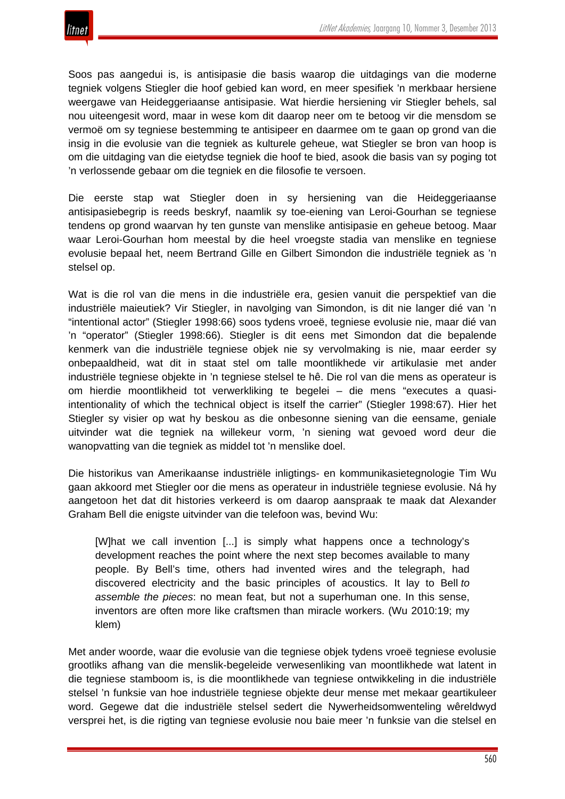Soos pas aangedui is, is antisipasie die basis waarop die uitdagings van die moderne tegniek volgens Stiegler die hoof gebied kan word, en meer spesifiek 'n merkbaar hersiene weergawe van Heideggeriaanse antisipasie. Wat hierdie hersiening vir Stiegler behels, sal nou uiteengesit word, maar in wese kom dit daarop neer om te betoog vir die mensdom se vermoë om sy tegniese bestemming te antisipeer en daarmee om te gaan op grond van die insig in die evolusie van die tegniek as kulturele geheue, wat Stiegler se bron van hoop is om die uitdaging van die eietydse tegniek die hoof te bied, asook die basis van sy poging tot 'n verlossende gebaar om die tegniek en die filosofie te versoen.

Die eerste stap wat Stiegler doen in sy hersiening van die Heideggeriaanse antisipasiebegrip is reeds beskryf, naamlik sy toe-eiening van Leroi-Gourhan se tegniese tendens op grond waarvan hy ten gunste van menslike antisipasie en geheue betoog. Maar waar Leroi-Gourhan hom meestal by die heel vroegste stadia van menslike en tegniese evolusie bepaal het, neem Bertrand Gille en Gilbert Simondon die industriële tegniek as 'n stelsel op.

Wat is die rol van die mens in die industriële era, gesien vanuit die perspektief van die industriële maieutiek? Vir Stiegler, in navolging van Simondon, is dit nie langer dié van 'n "intentional actor" (Stiegler 1998:66) soos tydens vroeë, tegniese evolusie nie, maar dié van 'n "operator" (Stiegler 1998:66). Stiegler is dit eens met Simondon dat die bepalende kenmerk van die industriële tegniese objek nie sy vervolmaking is nie, maar eerder sy onbepaaldheid, wat dit in staat stel om talle moontlikhede vir artikulasie met ander industriële tegniese objekte in 'n tegniese stelsel te hê. Die rol van die mens as operateur is om hierdie moontlikheid tot verwerkliking te begelei – die mens "executes a quasiintentionality of which the technical object is itself the carrier" (Stiegler 1998:67). Hier het Stiegler sy visier op wat hy beskou as die onbesonne siening van die eensame, geniale uitvinder wat die tegniek na willekeur vorm, 'n siening wat gevoed word deur die wanopvatting van die tegniek as middel tot 'n menslike doel.

Die historikus van Amerikaanse industriële inligtings- en kommunikasietegnologie Tim Wu gaan akkoord met Stiegler oor die mens as operateur in industriële tegniese evolusie. Ná hy aangetoon het dat dit histories verkeerd is om daarop aanspraak te maak dat Alexander Graham Bell die enigste uitvinder van die telefoon was, bevind Wu:

[W]hat we call invention [...] is simply what happens once a technology's development reaches the point where the next step becomes available to many people. By Bell's time, others had invented wires and the telegraph, had discovered electricity and the basic principles of acoustics. It lay to Bell *to assemble the pieces*: no mean feat, but not a superhuman one. In this sense, inventors are often more like craftsmen than miracle workers. (Wu 2010:19; my klem)

Met ander woorde, waar die evolusie van die tegniese objek tydens vroeë tegniese evolusie grootliks afhang van die menslik-begeleide verwesenliking van moontlikhede wat latent in die tegniese stamboom is, is die moontlikhede van tegniese ontwikkeling in die industriële stelsel 'n funksie van hoe industriële tegniese objekte deur mense met mekaar geartikuleer word. Gegewe dat die industriële stelsel sedert die Nywerheidsomwenteling wêreldwyd versprei het, is die rigting van tegniese evolusie nou baie meer 'n funksie van die stelsel en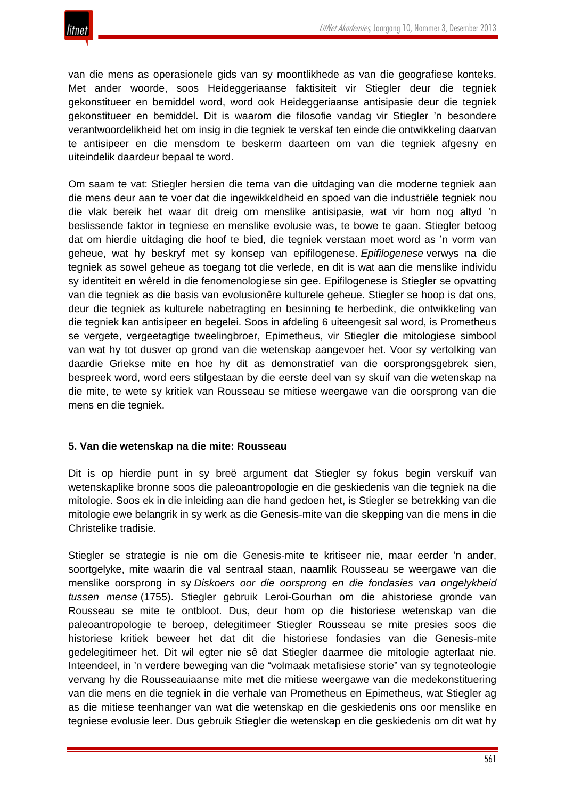

van die mens as operasionele gids van sy moontlikhede as van die geografiese konteks. Met ander woorde, soos Heideggeriaanse faktisiteit vir Stiegler deur die tegniek gekonstitueer en bemiddel word, word ook Heideggeriaanse antisipasie deur die tegniek gekonstitueer en bemiddel. Dit is waarom die filosofie vandag vir Stiegler 'n besondere verantwoordelikheid het om insig in die tegniek te verskaf ten einde die ontwikkeling daarvan te antisipeer en die mensdom te beskerm daarteen om van die tegniek afgesny en uiteindelik daardeur bepaal te word.

Om saam te vat: Stiegler hersien die tema van die uitdaging van die moderne tegniek aan die mens deur aan te voer dat die ingewikkeldheid en spoed van die industriële tegniek nou die vlak bereik het waar dit dreig om menslike antisipasie, wat vir hom nog altyd 'n beslissende faktor in tegniese en menslike evolusie was, te bowe te gaan. Stiegler betoog dat om hierdie uitdaging die hoof te bied, die tegniek verstaan moet word as 'n vorm van geheue, wat hy beskryf met sy konsep van epifilogenese. *Epifilogenese* verwys na die tegniek as sowel geheue as toegang tot die verlede, en dit is wat aan die menslike individu sy identiteit en wêreld in die fenomenologiese sin gee. Epifilogenese is Stiegler se opvatting van die tegniek as die basis van evolusionêre kulturele geheue. Stiegler se hoop is dat ons, deur die tegniek as kulturele nabetragting en besinning te herbedink, die ontwikkeling van die tegniek kan antisipeer en begelei. Soos in afdeling 6 uiteengesit sal word, is Prometheus se vergete, vergeetagtige tweelingbroer, Epimetheus, vir Stiegler die mitologiese simbool van wat hy tot dusver op grond van die wetenskap aangevoer het. Voor sy vertolking van daardie Griekse mite en hoe hy dit as demonstratief van die oorsprongsgebrek sien, bespreek word, word eers stilgestaan by die eerste deel van sy skuif van die wetenskap na die mite, te wete sy kritiek van Rousseau se mitiese weergawe van die oorsprong van die mens en die tegniek.

## **5. Van die wetenskap na die mite: Rousseau**

Dit is op hierdie punt in sy breë argument dat Stiegler sy fokus begin verskuif van wetenskaplike bronne soos die paleoantropologie en die geskiedenis van die tegniek na die mitologie. Soos ek in die inleiding aan die hand gedoen het, is Stiegler se betrekking van die mitologie ewe belangrik in sy werk as die Genesis-mite van die skepping van die mens in die Christelike tradisie.

Stiegler se strategie is nie om die Genesis-mite te kritiseer nie, maar eerder 'n ander, soortgelyke, mite waarin die val sentraal staan, naamlik Rousseau se weergawe van die menslike oorsprong in sy *Diskoers oor die oorsprong en die fondasies van ongelykheid tussen mense* (1755). Stiegler gebruik Leroi-Gourhan om die ahistoriese gronde van Rousseau se mite te ontbloot. Dus, deur hom op die historiese wetenskap van die paleoantropologie te beroep, delegitimeer Stiegler Rousseau se mite presies soos die historiese kritiek beweer het dat dit die historiese fondasies van die Genesis-mite gedelegitimeer het. Dit wil egter nie sê dat Stiegler daarmee die mitologie agterlaat nie. Inteendeel, in 'n verdere beweging van die "volmaak metafisiese storie" van sy tegnoteologie vervang hy die Rousseauiaanse mite met die mitiese weergawe van die medekonstituering van die mens en die tegniek in die verhale van Prometheus en Epimetheus, wat Stiegler ag as die mitiese teenhanger van wat die wetenskap en die geskiedenis ons oor menslike en tegniese evolusie leer. Dus gebruik Stiegler die wetenskap en die geskiedenis om dit wat hy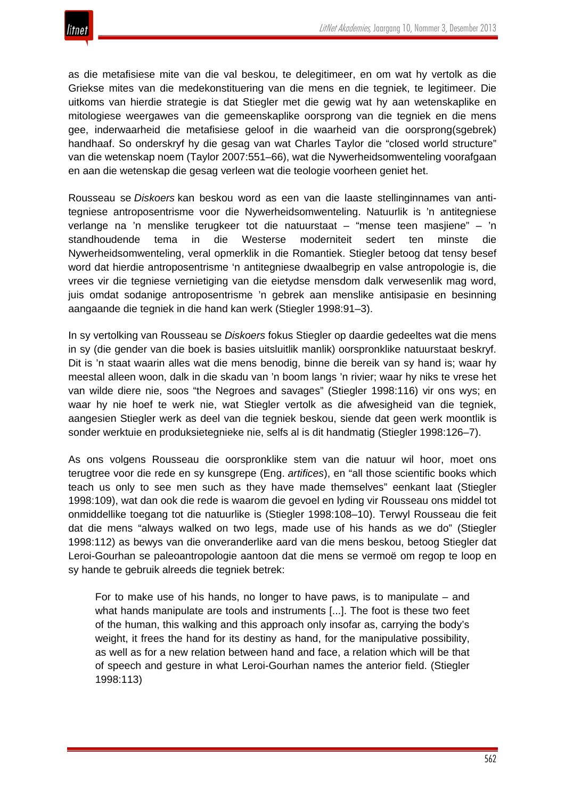as die metafisiese mite van die val beskou, te delegitimeer, en om wat hy vertolk as die Griekse mites van die medekonstituering van die mens en die tegniek, te legitimeer. Die uitkoms van hierdie strategie is dat Stiegler met die gewig wat hy aan wetenskaplike en mitologiese weergawes van die gemeenskaplike oorsprong van die tegniek en die mens gee, inderwaarheid die metafisiese geloof in die waarheid van die oorsprong(sgebrek) handhaaf. So onderskryf hy die gesag van wat Charles Taylor die "closed world structure" van die wetenskap noem (Taylor 2007:551–66), wat die Nywerheidsomwenteling voorafgaan en aan die wetenskap die gesag verleen wat die teologie voorheen geniet het.

Rousseau se *Diskoers* kan beskou word as een van die laaste stellinginnames van antitegniese antroposentrisme voor die Nywerheidsomwenteling. Natuurlik is 'n antitegniese verlange na 'n menslike terugkeer tot die natuurstaat – "mense teen masjiene" – 'n standhoudende tema in die Westerse moderniteit sedert ten minste die Nywerheidsomwenteling, veral opmerklik in die Romantiek. Stiegler betoog dat tensy besef word dat hierdie antroposentrisme 'n antitegniese dwaalbegrip en valse antropologie is, die vrees vir die tegniese vernietiging van die eietydse mensdom dalk verwesenlik mag word, juis omdat sodanige antroposentrisme 'n gebrek aan menslike antisipasie en besinning aangaande die tegniek in die hand kan werk (Stiegler 1998:91–3).

In sy vertolking van Rousseau se *Diskoers* fokus Stiegler op daardie gedeeltes wat die mens in sy (die gender van die boek is basies uitsluitlik manlik) oorspronklike natuurstaat beskryf. Dit is 'n staat waarin alles wat die mens benodig, binne die bereik van sy hand is; waar hy meestal alleen woon, dalk in die skadu van 'n boom langs 'n rivier; waar hy niks te vrese het van wilde diere nie, soos "the Negroes and savages" (Stiegler 1998:116) vir ons wys; en waar hy nie hoef te werk nie, wat Stiegler vertolk as die afwesigheid van die tegniek, aangesien Stiegler werk as deel van die tegniek beskou, siende dat geen werk moontlik is sonder werktuie en produksietegnieke nie, selfs al is dit handmatig (Stiegler 1998:126–7).

As ons volgens Rousseau die oorspronklike stem van die natuur wil hoor, moet ons terugtree voor die rede en sy kunsgrepe (Eng. *artifices*), en "all those scientific books which teach us only to see men such as they have made themselves" eenkant laat (Stiegler 1998:109), wat dan ook die rede is waarom die gevoel en lyding vir Rousseau ons middel tot onmiddellike toegang tot die natuurlike is (Stiegler 1998:108–10). Terwyl Rousseau die feit dat die mens "always walked on two legs, made use of his hands as we do" (Stiegler 1998:112) as bewys van die onveranderlike aard van die mens beskou, betoog Stiegler dat Leroi-Gourhan se paleoantropologie aantoon dat die mens se vermoë om regop te loop en sy hande te gebruik alreeds die tegniek betrek:

For to make use of his hands, no longer to have paws, is to manipulate – and what hands manipulate are tools and instruments [...]. The foot is these two feet of the human, this walking and this approach only insofar as, carrying the body's weight, it frees the hand for its destiny as hand, for the manipulative possibility, as well as for a new relation between hand and face, a relation which will be that of speech and gesture in what Leroi-Gourhan names the anterior field. (Stiegler 1998:113)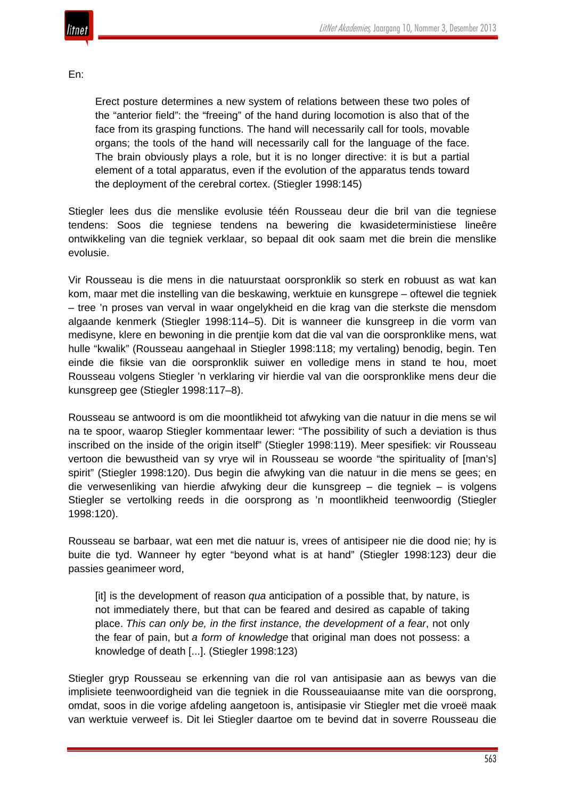

#### En:

Erect posture determines a new system of relations between these two poles of the "anterior field": the "freeing" of the hand during locomotion is also that of the face from its grasping functions. The hand will necessarily call for tools, movable organs; the tools of the hand will necessarily call for the language of the face. The brain obviously plays a role, but it is no longer directive: it is but a partial element of a total apparatus, even if the evolution of the apparatus tends toward the deployment of the cerebral cortex. (Stiegler 1998:145)

Stiegler lees dus die menslike evolusie téén Rousseau deur die bril van die tegniese tendens: Soos die tegniese tendens na bewering die kwasideterministiese lineêre ontwikkeling van die tegniek verklaar, so bepaal dit ook saam met die brein die menslike evolusie.

Vir Rousseau is die mens in die natuurstaat oorspronklik so sterk en robuust as wat kan kom, maar met die instelling van die beskawing, werktuie en kunsgrepe – oftewel die tegniek – tree 'n proses van verval in waar ongelykheid en die krag van die sterkste die mensdom algaande kenmerk (Stiegler 1998:114–5). Dit is wanneer die kunsgreep in die vorm van medisyne, klere en bewoning in die prentjie kom dat die val van die oorspronklike mens, wat hulle "kwalik" (Rousseau aangehaal in Stiegler 1998:118; my vertaling) benodig, begin. Ten einde die fiksie van die oorspronklik suiwer en volledige mens in stand te hou, moet Rousseau volgens Stiegler 'n verklaring vir hierdie val van die oorspronklike mens deur die kunsgreep gee (Stiegler 1998:117–8).

Rousseau se antwoord is om die moontlikheid tot afwyking van die natuur in die mens se wil na te spoor, waarop Stiegler kommentaar lewer: "The possibility of such a deviation is thus inscribed on the inside of the origin itself" (Stiegler 1998:119). Meer spesifiek: vir Rousseau vertoon die bewustheid van sy vrye wil in Rousseau se woorde "the spirituality of [man's] spirit" (Stiegler 1998:120). Dus begin die afwyking van die natuur in die mens se gees; en die verwesenliking van hierdie afwyking deur die kunsgreep – die tegniek – is volgens Stiegler se vertolking reeds in die oorsprong as 'n moontlikheid teenwoordig (Stiegler 1998:120).

Rousseau se barbaar, wat een met die natuur is, vrees of antisipeer nie die dood nie; hy is buite die tyd. Wanneer hy egter "beyond what is at hand" (Stiegler 1998:123) deur die passies geanimeer word,

[it] is the development of reason *qua* anticipation of a possible that, by nature, is not immediately there, but that can be feared and desired as capable of taking place. *This can only be, in the first instance, the development of a fear*, not only the fear of pain, but *a form of knowledge* that original man does not possess: a knowledge of death [...]. (Stiegler 1998:123)

Stiegler gryp Rousseau se erkenning van die rol van antisipasie aan as bewys van die implisiete teenwoordigheid van die tegniek in die Rousseauiaanse mite van die oorsprong, omdat, soos in die vorige afdeling aangetoon is, antisipasie vir Stiegler met die vroeë maak van werktuie verweef is. Dit lei Stiegler daartoe om te bevind dat in soverre Rousseau die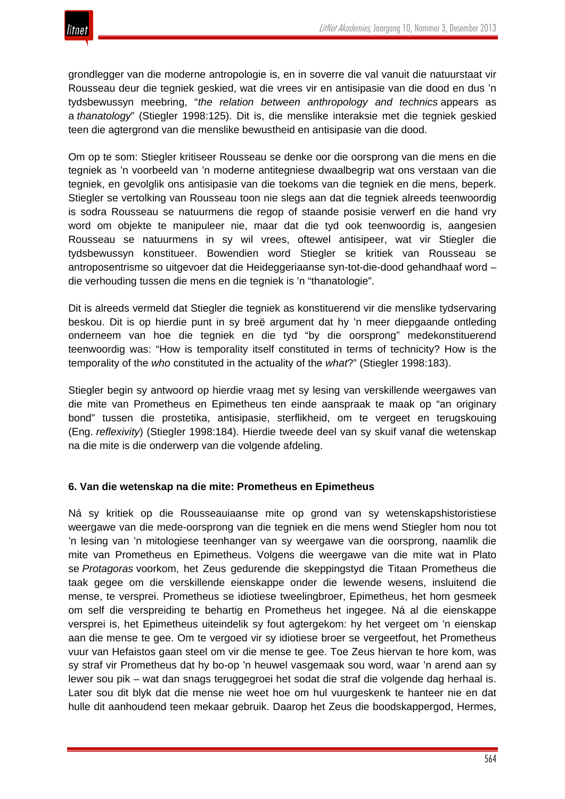grondlegger van die moderne antropologie is, en in soverre die val vanuit die natuurstaat vir Rousseau deur die tegniek geskied, wat die vrees vir en antisipasie van die dood en dus 'n tydsbewussyn meebring, "*the relation between anthropology and technics* appears as a *thanatology*" (Stiegler 1998:125). Dit is, die menslike interaksie met die tegniek geskied teen die agtergrond van die menslike bewustheid en antisipasie van die dood.

Om op te som: Stiegler kritiseer Rousseau se denke oor die oorsprong van die mens en die tegniek as 'n voorbeeld van 'n moderne antitegniese dwaalbegrip wat ons verstaan van die tegniek, en gevolglik ons antisipasie van die toekoms van die tegniek en die mens, beperk. Stiegler se vertolking van Rousseau toon nie slegs aan dat die tegniek alreeds teenwoordig is sodra Rousseau se natuurmens die regop of staande posisie verwerf en die hand vry word om objekte te manipuleer nie, maar dat die tyd ook teenwoordig is, aangesien Rousseau se natuurmens in sy wil vrees, oftewel antisipeer, wat vir Stiegler die tydsbewussyn konstitueer. Bowendien word Stiegler se kritiek van Rousseau se antroposentrisme so uitgevoer dat die Heideggeriaanse syn-tot-die-dood gehandhaaf word – die verhouding tussen die mens en die tegniek is 'n "thanatologie".

Dit is alreeds vermeld dat Stiegler die tegniek as konstituerend vir die menslike tydservaring beskou. Dit is op hierdie punt in sy breë argument dat hy 'n meer diepgaande ontleding onderneem van hoe die tegniek en die tyd "by die oorsprong" medekonstituerend teenwoordig was: "How is temporality itself constituted in terms of technicity? How is the temporality of the *who* constituted in the actuality of the *what*?" (Stiegler 1998:183).

Stiegler begin sy antwoord op hierdie vraag met sy lesing van verskillende weergawes van die mite van Prometheus en Epimetheus ten einde aanspraak te maak op "an originary bond" tussen die prostetika, antisipasie, sterflikheid, om te vergeet en terugskouing (Eng. *reflexivity*) (Stiegler 1998:184). Hierdie tweede deel van sy skuif vanaf die wetenskap na die mite is die onderwerp van die volgende afdeling.

## **6. Van die wetenskap na die mite: Prometheus en Epimetheus**

Ná sy kritiek op die Rousseauiaanse mite op grond van sy wetenskapshistoristiese weergawe van die mede-oorsprong van die tegniek en die mens wend Stiegler hom nou tot 'n lesing van 'n mitologiese teenhanger van sy weergawe van die oorsprong, naamlik die mite van Prometheus en Epimetheus. Volgens die weergawe van die mite wat in Plato se *Protagoras* voorkom, het Zeus gedurende die skeppingstyd die Titaan Prometheus die taak gegee om die verskillende eienskappe onder die lewende wesens, insluitend die mense, te versprei. Prometheus se idiotiese tweelingbroer, Epimetheus, het hom gesmeek om self die verspreiding te behartig en Prometheus het ingegee. Ná al die eienskappe versprei is, het Epimetheus uiteindelik sy fout agtergekom: hy het vergeet om 'n eienskap aan die mense te gee. Om te vergoed vir sy idiotiese broer se vergeetfout, het Prometheus vuur van Hefaistos gaan steel om vir die mense te gee. Toe Zeus hiervan te hore kom, was sy straf vir Prometheus dat hy bo-op 'n heuwel vasgemaak sou word, waar 'n arend aan sy lewer sou pik – wat dan snags teruggegroei het sodat die straf die volgende dag herhaal is. Later sou dit blyk dat die mense nie weet hoe om hul vuurgeskenk te hanteer nie en dat hulle dit aanhoudend teen mekaar gebruik. Daarop het Zeus die boodskappergod, Hermes,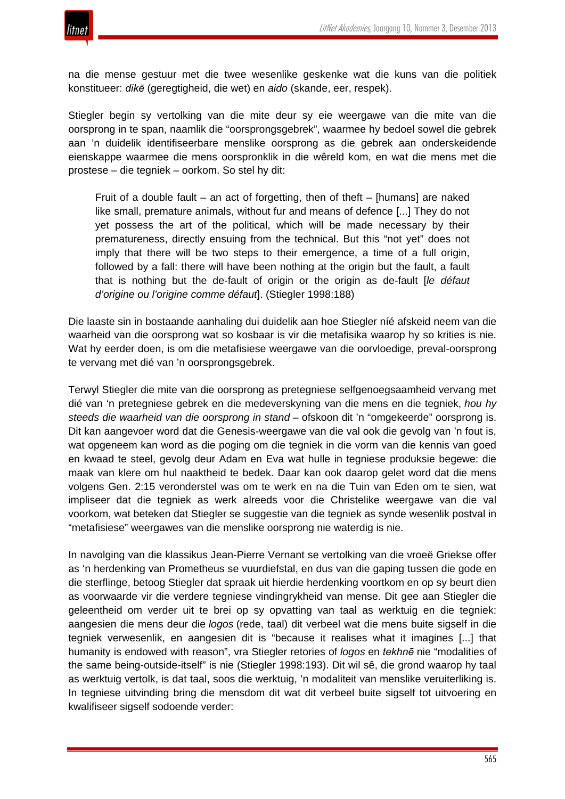

na die mense gestuur met die twee wesenlike geskenke wat die kuns van die politiek konstitueer: *dikē* (geregtigheid, die wet) en *aido* (skande, eer, respek).

Stiegler begin sy vertolking van die mite deur sy eie weergawe van die mite van die oorsprong in te span, naamlik die "oorsprongsgebrek", waarmee hy bedoel sowel die gebrek aan 'n duidelik identifiseerbare menslike oorsprong as die gebrek aan onderskeidende eienskappe waarmee die mens oorspronklik in die wêreld kom, en wat die mens met die prostese – die tegniek – oorkom. So stel hy dit:

Fruit of a double fault – an act of forgetting, then of theft – [humans] are naked like small, premature animals, without fur and means of defence [...] They do not yet possess the art of the political, which will be made necessary by their prematureness, directly ensuing from the technical. But this "not yet" does not imply that there will be two steps to their emergence, a time of a full origin, followed by a fall: there will have been nothing at the origin but the fault, a fault that is nothing but the de-fault of origin or the origin as de-fault [*le défaut d'origine ou l'origine comme défaut*]. (Stiegler 1998:188)

Die laaste sin in bostaande aanhaling dui duidelik aan hoe Stiegler níé afskeid neem van die waarheid van die oorsprong wat so kosbaar is vir die metafisika waarop hy so krities is nie. Wat hy eerder doen, is om die metafisiese weergawe van die oorvloedige, preval-oorsprong te vervang met dié van 'n oorsprongsgebrek.

Terwyl Stiegler die mite van die oorsprong as pretegniese selfgenoegsaamheid vervang met dié van 'n pretegniese gebrek en die medeverskyning van die mens en die tegniek, *hou hy steeds die waarheid van die oorsprong in stand* – ofskoon dit 'n "omgekeerde" oorsprong is. Dit kan aangevoer word dat die Genesis-weergawe van die val ook die gevolg van 'n fout is, wat opgeneem kan word as die poging om die tegniek in die vorm van die kennis van goed en kwaad te steel, gevolg deur Adam en Eva wat hulle in tegniese produksie begewe: die maak van klere om hul naaktheid te bedek. Daar kan ook daarop gelet word dat die mens volgens Gen. 2:15 veronderstel was om te werk en na die Tuin van Eden om te sien, wat impliseer dat die tegniek as werk alreeds voor die Christelike weergawe van die val voorkom, wat beteken dat Stiegler se suggestie van die tegniek as synde wesenlik postval in "metafisiese" weergawes van die menslike oorsprong nie waterdig is nie.

In navolging van die klassikus Jean-Pierre Vernant se vertolking van die vroeë Griekse offer as 'n herdenking van Prometheus se vuurdiefstal, en dus van die gaping tussen die gode en die sterflinge, betoog Stiegler dat spraak uit hierdie herdenking voortkom en op sy beurt dien as voorwaarde vir die verdere tegniese vindingrykheid van mense. Dit gee aan Stiegler die geleentheid om verder uit te brei op sy opvatting van taal as werktuig en die tegniek: aangesien die mens deur die *logos* (rede, taal) dit verbeel wat die mens buite sigself in die tegniek verwesenlik, en aangesien dit is "because it realises what it imagines [...] that humanity is endowed with reason", vra Stiegler retories of *logos* en *tekhnē* nie "modalities of the same being-outside-itself" is nie (Stiegler 1998:193). Dit wil sê, die grond waarop hy taal as werktuig vertolk, is dat taal, soos die werktuig, 'n modaliteit van menslike veruiterliking is. In tegniese uitvinding bring die mensdom dit wat dit verbeel buite sigself tot uitvoering en kwalifiseer sigself sodoende verder: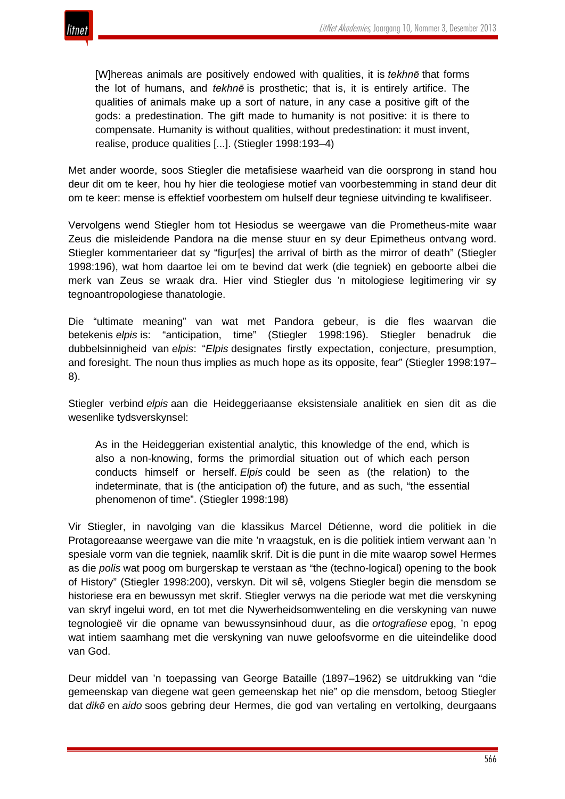

[W]hereas animals are positively endowed with qualities, it is *tekhnē* that forms the lot of humans, and *tekhnē* is prosthetic; that is, it is entirely artifice. The qualities of animals make up a sort of nature, in any case a positive gift of the gods: a predestination. The gift made to humanity is not positive: it is there to compensate. Humanity is without qualities, without predestination: it must invent, realise, produce qualities [...]. (Stiegler 1998:193–4)

Met ander woorde, soos Stiegler die metafisiese waarheid van die oorsprong in stand hou deur dit om te keer, hou hy hier die teologiese motief van voorbestemming in stand deur dit om te keer: mense is effektief voorbestem om hulself deur tegniese uitvinding te kwalifiseer.

Vervolgens wend Stiegler hom tot Hesiodus se weergawe van die Prometheus-mite waar Zeus die misleidende Pandora na die mense stuur en sy deur Epimetheus ontvang word. Stiegler kommentarieer dat sy "figur[es] the arrival of birth as the mirror of death" (Stiegler 1998:196), wat hom daartoe lei om te bevind dat werk (die tegniek) en geboorte albei die merk van Zeus se wraak dra. Hier vind Stiegler dus 'n mitologiese legitimering vir sy tegnoantropologiese thanatologie.

Die "ultimate meaning" van wat met Pandora gebeur, is die fles waarvan die betekenis *elpis* is: "anticipation, time" (Stiegler 1998:196). Stiegler benadruk die dubbelsinnigheid van *elpis*: "*Elpis* designates firstly expectation, conjecture, presumption, and foresight. The noun thus implies as much hope as its opposite, fear" (Stiegler 1998:197– 8).

Stiegler verbind *elpis* aan die Heideggeriaanse eksistensiale analitiek en sien dit as die wesenlike tydsverskynsel:

As in the Heideggerian existential analytic, this knowledge of the end, which is also a non-knowing, forms the primordial situation out of which each person conducts himself or herself. *Elpis* could be seen as (the relation) to the indeterminate, that is (the anticipation of) the future, and as such, "the essential phenomenon of time". (Stiegler 1998:198)

Vir Stiegler, in navolging van die klassikus Marcel Détienne, word die politiek in die Protagoreaanse weergawe van die mite 'n vraagstuk, en is die politiek intiem verwant aan 'n spesiale vorm van die tegniek, naamlik skrif. Dit is die punt in die mite waarop sowel Hermes as die *polis* wat poog om burgerskap te verstaan as "the (techno-logical) opening to the book of History" (Stiegler 1998:200), verskyn. Dit wil sê, volgens Stiegler begin die mensdom se historiese era en bewussyn met skrif. Stiegler verwys na die periode wat met die verskyning van skryf ingelui word, en tot met die Nywerheidsomwenteling en die verskyning van nuwe tegnologieë vir die opname van bewussynsinhoud duur, as die *ortografiese* epog, 'n epog wat intiem saamhang met die verskyning van nuwe geloofsvorme en die uiteindelike dood van God.

Deur middel van 'n toepassing van George Bataille (1897–1962) se uitdrukking van "die gemeenskap van diegene wat geen gemeenskap het nie" op die mensdom, betoog Stiegler dat *dikē* en *aido* soos gebring deur Hermes, die god van vertaling en vertolking, deurgaans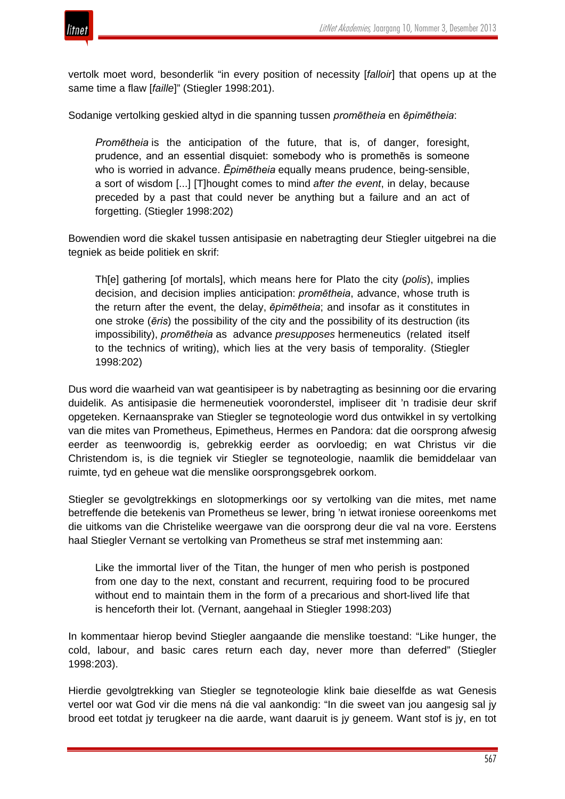

vertolk moet word, besonderlik "in every position of necessity [*falloir*] that opens up at the same time a flaw [*faille*]" (Stiegler 1998:201).

Sodanige vertolking geskied altyd in die spanning tussen *promētheia* en *ēpimētheia*:

*Promētheia* is the anticipation of the future, that is, of danger, foresight, prudence, and an essential disquiet: somebody who is promethēs is someone who is worried in advance. *Ēpimētheia* equally means prudence, being-sensible, a sort of wisdom [...] [T]hought comes to mind *after the event*, in delay, because preceded by a past that could never be anything but a failure and an act of forgetting. (Stiegler 1998:202)

Bowendien word die skakel tussen antisipasie en nabetragting deur Stiegler uitgebrei na die tegniek as beide politiek en skrif:

Th[e] gathering [of mortals], which means here for Plato the city (*polis*), implies decision, and decision implies anticipation: *promētheia*, advance, whose truth is the return after the event, the delay, *ēpimētheia*; and insofar as it constitutes in one stroke (*ēris*) the possibility of the city and the possibility of its destruction (its impossibility), *promētheia* as advance *presupposes* hermeneutics (related itself to the technics of writing), which lies at the very basis of temporality. (Stiegler 1998:202)

Dus word die waarheid van wat geantisipeer is by nabetragting as besinning oor die ervaring duidelik. As antisipasie die hermeneutiek vooronderstel, impliseer dit 'n tradisie deur skrif opgeteken. Kernaansprake van Stiegler se tegnoteologie word dus ontwikkel in sy vertolking van die mites van Prometheus, Epimetheus, Hermes en Pandora: dat die oorsprong afwesig eerder as teenwoordig is, gebrekkig eerder as oorvloedig; en wat Christus vir die Christendom is, is die tegniek vir Stiegler se tegnoteologie, naamlik die bemiddelaar van ruimte, tyd en geheue wat die menslike oorsprongsgebrek oorkom.

Stiegler se gevolgtrekkings en slotopmerkings oor sy vertolking van die mites, met name betreffende die betekenis van Prometheus se lewer, bring 'n ietwat ironiese ooreenkoms met die uitkoms van die Christelike weergawe van die oorsprong deur die val na vore. Eerstens haal Stiegler Vernant se vertolking van Prometheus se straf met instemming aan:

Like the immortal liver of the Titan, the hunger of men who perish is postponed from one day to the next, constant and recurrent, requiring food to be procured without end to maintain them in the form of a precarious and short-lived life that is henceforth their lot. (Vernant, aangehaal in Stiegler 1998:203)

In kommentaar hierop bevind Stiegler aangaande die menslike toestand: "Like hunger, the cold, labour, and basic cares return each day, never more than deferred" (Stiegler 1998:203).

Hierdie gevolgtrekking van Stiegler se tegnoteologie klink baie dieselfde as wat Genesis vertel oor wat God vir die mens ná die val aankondig: "In die sweet van jou aangesig sal jy brood eet totdat jy terugkeer na die aarde, want daaruit is jy geneem. Want stof is jy, en tot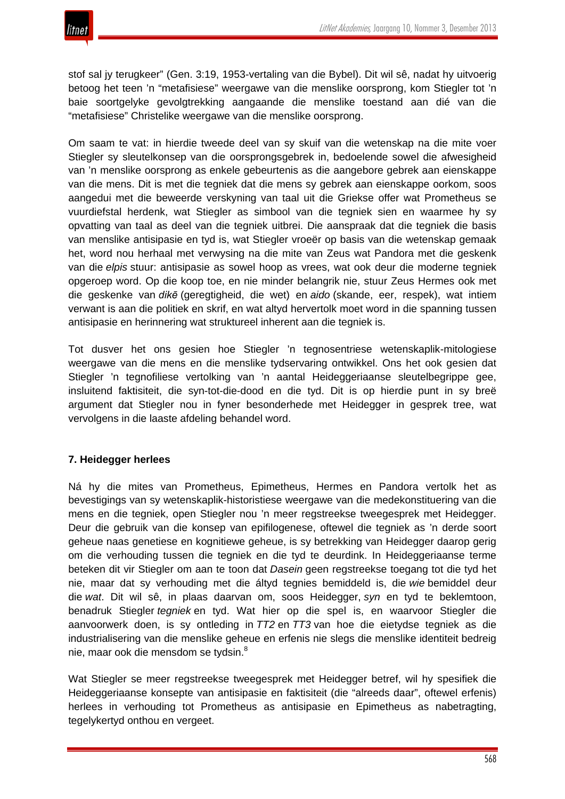stof sal jy terugkeer" (Gen. 3:19, 1953-vertaling van die Bybel). Dit wil sê, nadat hy uitvoerig betoog het teen 'n "metafisiese" weergawe van die menslike oorsprong, kom Stiegler tot 'n baie soortgelyke gevolgtrekking aangaande die menslike toestand aan dié van die "metafisiese" Christelike weergawe van die menslike oorsprong.

Om saam te vat: in hierdie tweede deel van sy skuif van die wetenskap na die mite voer Stiegler sy sleutelkonsep van die oorsprongsgebrek in, bedoelende sowel die afwesigheid van 'n menslike oorsprong as enkele gebeurtenis as die aangebore gebrek aan eienskappe van die mens. Dit is met die tegniek dat die mens sy gebrek aan eienskappe oorkom, soos aangedui met die beweerde verskyning van taal uit die Griekse offer wat Prometheus se vuurdiefstal herdenk, wat Stiegler as simbool van die tegniek sien en waarmee hy sy opvatting van taal as deel van die tegniek uitbrei. Die aanspraak dat die tegniek die basis van menslike antisipasie en tyd is, wat Stiegler vroeër op basis van die wetenskap gemaak het, word nou herhaal met verwysing na die mite van Zeus wat Pandora met die geskenk van die *elpis* stuur: antisipasie as sowel hoop as vrees, wat ook deur die moderne tegniek opgeroep word. Op die koop toe, en nie minder belangrik nie, stuur Zeus Hermes ook met die geskenke van *dikē* (geregtigheid, die wet) en *aido* (skande, eer, respek), wat intiem verwant is aan die politiek en skrif, en wat altyd hervertolk moet word in die spanning tussen antisipasie en herinnering wat struktureel inherent aan die tegniek is.

Tot dusver het ons gesien hoe Stiegler 'n tegnosentriese wetenskaplik-mitologiese weergawe van die mens en die menslike tydservaring ontwikkel. Ons het ook gesien dat Stiegler 'n tegnofiliese vertolking van 'n aantal Heideggeriaanse sleutelbegrippe gee, insluitend faktisiteit, die syn-tot-die-dood en die tyd. Dit is op hierdie punt in sy breë argument dat Stiegler nou in fyner besonderhede met Heidegger in gesprek tree, wat vervolgens in die laaste afdeling behandel word.

# **7. Heidegger herlees**

Ná hy die mites van Prometheus, Epimetheus, Hermes en Pandora vertolk het as bevestigings van sy wetenskaplik-historistiese weergawe van die medekonstituering van die mens en die tegniek, open Stiegler nou 'n meer regstreekse tweegesprek met Heidegger. Deur die gebruik van die konsep van epifilogenese, oftewel die tegniek as 'n derde soort geheue naas genetiese en kognitiewe geheue, is sy betrekking van Heidegger daarop gerig om die verhouding tussen die tegniek en die tyd te deurdink. In Heideggeriaanse terme beteken dit vir Stiegler om aan te toon dat *Dasein* geen regstreekse toegang tot die tyd het nie, maar dat sy verhouding met die áltyd tegnies bemiddeld is, die *wie* bemiddel deur die *wat*. Dit wil sê, in plaas daarvan om, soos Heidegger, *syn* en tyd te beklemtoon, benadruk Stiegler *tegniek* en tyd. Wat hier op die spel is, en waarvoor Stiegler die aanvoorwerk doen, is sy ontleding in *TT2* en *TT3* van hoe die eietydse tegniek as die industrialisering van die menslike geheue en erfenis nie slegs die menslike identiteit bedreig nie, maar ook die mensdom se tydsin.<sup>8</sup>

Wat Stiegler se meer regstreekse tweegesprek met Heidegger betref, wil hy spesifiek die Heideggeriaanse konsepte van antisipasie en faktisiteit (die "alreeds daar", oftewel erfenis) herlees in verhouding tot Prometheus as antisipasie en Epimetheus as nabetragting, tegelykertyd onthou en vergeet.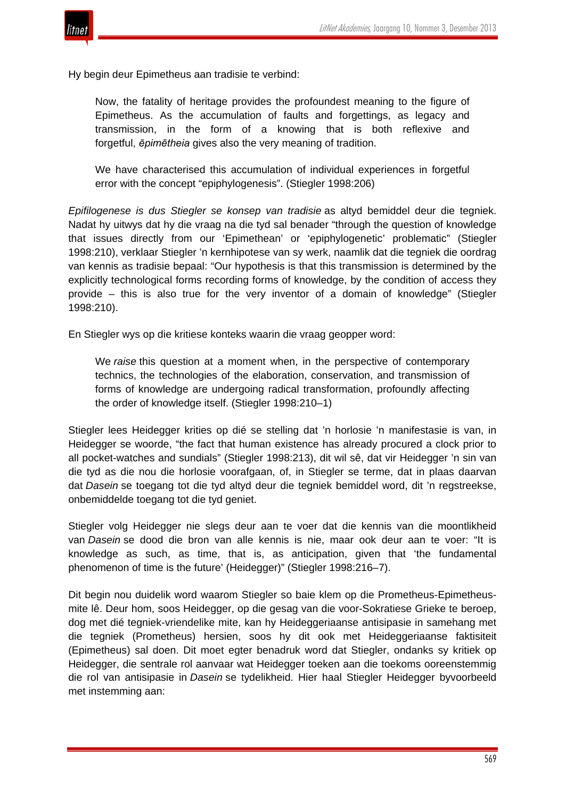

Hy begin deur Epimetheus aan tradisie te verbind:

Now, the fatality of heritage provides the profoundest meaning to the figure of Epimetheus. As the accumulation of faults and forgettings, as legacy and transmission, in the form of a knowing that is both reflexive and forgetful, *ēpimētheia* gives also the very meaning of tradition.

We have characterised this accumulation of individual experiences in forgetful error with the concept "epiphylogenesis". (Stiegler 1998:206)

*Epifilogenese is dus Stiegler se konsep van tradisie* as altyd bemiddel deur die tegniek. Nadat hy uitwys dat hy die vraag na die tyd sal benader "through the question of knowledge that issues directly from our 'Epimethean' or 'epiphylogenetic' problematic" (Stiegler 1998:210), verklaar Stiegler 'n kernhipotese van sy werk, naamlik dat die tegniek die oordrag van kennis as tradisie bepaal: "Our hypothesis is that this transmission is determined by the explicitly technological forms recording forms of knowledge, by the condition of access they provide – this is also true for the very inventor of a domain of knowledge" (Stiegler 1998:210).

En Stiegler wys op die kritiese konteks waarin die vraag geopper word:

We *raise* this question at a moment when, in the perspective of contemporary technics, the technologies of the elaboration, conservation, and transmission of forms of knowledge are undergoing radical transformation, profoundly affecting the order of knowledge itself. (Stiegler 1998:210–1)

Stiegler lees Heidegger krities op dié se stelling dat 'n horlosie 'n manifestasie is van, in Heidegger se woorde, "the fact that human existence has already procured a clock prior to all pocket-watches and sundials" (Stiegler 1998:213), dit wil sê, dat vir Heidegger 'n sin van die tyd as die nou die horlosie voorafgaan, of, in Stiegler se terme, dat in plaas daarvan dat *Dasein* se toegang tot die tyd altyd deur die tegniek bemiddel word, dit 'n regstreekse, onbemiddelde toegang tot die tyd geniet.

Stiegler volg Heidegger nie slegs deur aan te voer dat die kennis van die moontlikheid van *Dasein* se dood die bron van alle kennis is nie, maar ook deur aan te voer: "It is knowledge as such, as time, that is, as anticipation, given that 'the fundamental phenomenon of time is the future' (Heidegger)" (Stiegler 1998:216–7).

Dit begin nou duidelik word waarom Stiegler so baie klem op die Prometheus-Epimetheusmite lê. Deur hom, soos Heidegger, op die gesag van die voor-Sokratiese Grieke te beroep, dog met dié tegniek-vriendelike mite, kan hy Heideggeriaanse antisipasie in samehang met die tegniek (Prometheus) hersien, soos hy dit ook met Heideggeriaanse faktisiteit (Epimetheus) sal doen. Dit moet egter benadruk word dat Stiegler, ondanks sy kritiek op Heidegger, die sentrale rol aanvaar wat Heidegger toeken aan die toekoms ooreenstemmig die rol van antisipasie in *Dasein* se tydelikheid. Hier haal Stiegler Heidegger byvoorbeeld met instemming aan: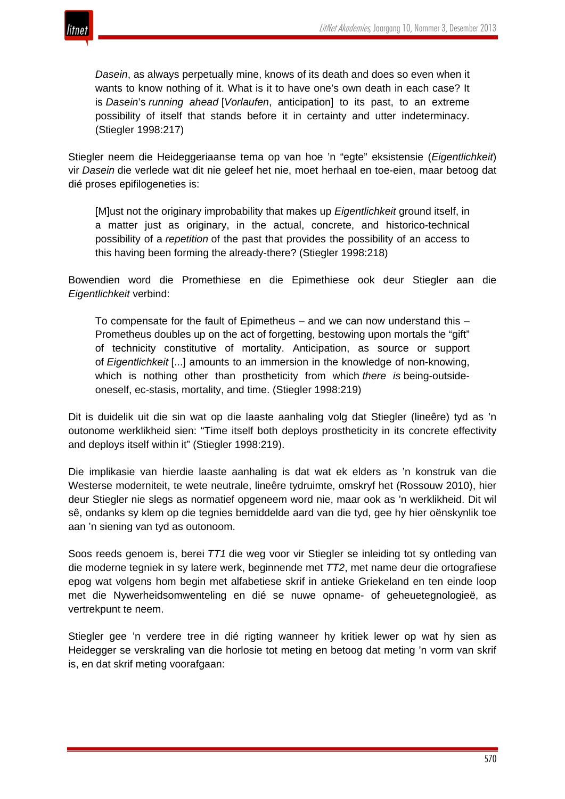

*Dasein*, as always perpetually mine, knows of its death and does so even when it wants to know nothing of it. What is it to have one's own death in each case? It is *Dasein*'s *running ahead* [*Vorlaufen*, anticipation] to its past, to an extreme possibility of itself that stands before it in certainty and utter indeterminacy. (Stiegler 1998:217)

Stiegler neem die Heideggeriaanse tema op van hoe 'n "egte" eksistensie (*Eigentlichkeit*) vir *Dasein* die verlede wat dit nie geleef het nie, moet herhaal en toe-eien, maar betoog dat dié proses epifilogeneties is:

[M]ust not the originary improbability that makes up *Eigentlichkeit* ground itself, in a matter just as originary, in the actual, concrete, and historico-technical possibility of a *repetition* of the past that provides the possibility of an access to this having been forming the already-there? (Stiegler 1998:218)

Bowendien word die Promethiese en die Epimethiese ook deur Stiegler aan die *Eigentlichkeit* verbind:

To compensate for the fault of Epimetheus – and we can now understand this – Prometheus doubles up on the act of forgetting, bestowing upon mortals the "gift" of technicity constitutive of mortality. Anticipation, as source or support of *Eigentlichkeit* [...] amounts to an immersion in the knowledge of non-knowing, which is nothing other than prostheticity from which *there is* being-outsideoneself, ec-stasis, mortality, and time. (Stiegler 1998:219)

Dit is duidelik uit die sin wat op die laaste aanhaling volg dat Stiegler (lineêre) tyd as 'n outonome werklikheid sien: "Time itself both deploys prostheticity in its concrete effectivity and deploys itself within it" (Stiegler 1998:219).

Die implikasie van hierdie laaste aanhaling is dat wat ek elders as 'n konstruk van die Westerse moderniteit, te wete neutrale, lineêre tydruimte, omskryf het (Rossouw 2010), hier deur Stiegler nie slegs as normatief opgeneem word nie, maar ook as 'n werklikheid. Dit wil sê, ondanks sy klem op die tegnies bemiddelde aard van die tyd, gee hy hier oënskynlik toe aan 'n siening van tyd as outonoom.

Soos reeds genoem is, berei *TT1* die weg voor vir Stiegler se inleiding tot sy ontleding van die moderne tegniek in sy latere werk, beginnende met *TT2*, met name deur die ortografiese epog wat volgens hom begin met alfabetiese skrif in antieke Griekeland en ten einde loop met die Nywerheidsomwenteling en dié se nuwe opname- of geheuetegnologieë, as vertrekpunt te neem.

Stiegler gee 'n verdere tree in dié rigting wanneer hy kritiek lewer op wat hy sien as Heidegger se verskraling van die horlosie tot meting en betoog dat meting 'n vorm van skrif is, en dat skrif meting voorafgaan: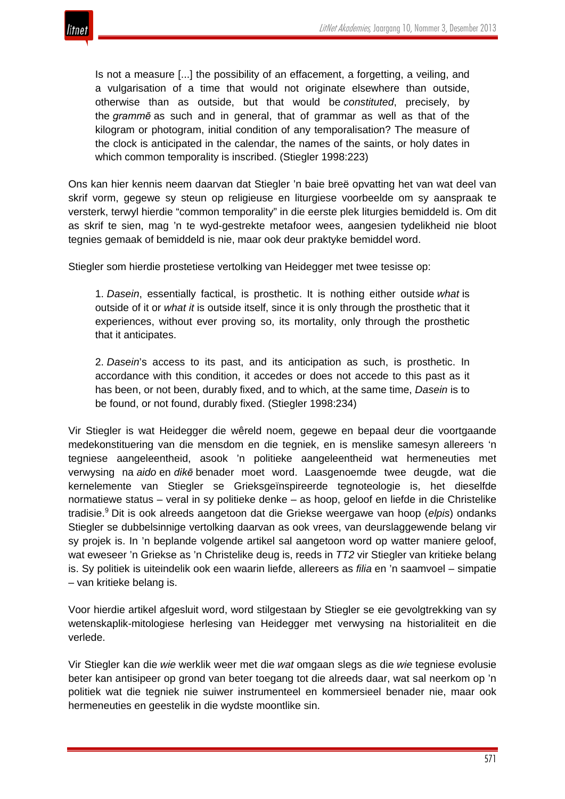

Is not a measure [...] the possibility of an effacement, a forgetting, a veiling, and a vulgarisation of a time that would not originate elsewhere than outside, otherwise than as outside, but that would be *constituted*, precisely, by the *grammē* as such and in general, that of grammar as well as that of the kilogram or photogram, initial condition of any temporalisation? The measure of the clock is anticipated in the calendar, the names of the saints, or holy dates in which common temporality is inscribed. (Stiegler 1998:223)

Ons kan hier kennis neem daarvan dat Stiegler 'n baie breë opvatting het van wat deel van skrif vorm, gegewe sy steun op religieuse en liturgiese voorbeelde om sy aanspraak te versterk, terwyl hierdie "common temporality" in die eerste plek liturgies bemiddeld is. Om dit as skrif te sien, mag 'n te wyd-gestrekte metafoor wees, aangesien tydelikheid nie bloot tegnies gemaak of bemiddeld is nie, maar ook deur praktyke bemiddel word.

Stiegler som hierdie prostetiese vertolking van Heidegger met twee tesisse op:

1. *Dasein*, essentially factical, is prosthetic. It is nothing either outside *what* is outside of it or *what it* is outside itself, since it is only through the prosthetic that it experiences, without ever proving so, its mortality, only through the prosthetic that it anticipates.

2. *Dasein*'s access to its past, and its anticipation as such, is prosthetic. In accordance with this condition, it accedes or does not accede to this past as it has been, or not been, durably fixed, and to which, at the same time, *Dasein* is to be found, or not found, durably fixed. (Stiegler 1998:234)

Vir Stiegler is wat Heidegger die wêreld noem, gegewe en bepaal deur die voortgaande medekonstituering van die mensdom en die tegniek, en is menslike samesyn allereers 'n tegniese aangeleentheid, asook 'n politieke aangeleentheid wat hermeneuties met verwysing na *aido* en *dikē* benader moet word. Laasgenoemde twee deugde, wat die kernelemente van Stiegler se Grieksgeïnspireerde tegnoteologie is, het dieselfde normatiewe status – veral in sy politieke denke – as hoop, geloof en liefde in die Christelike tradisie.<sup>9</sup> Dit is ook alreeds aangetoon dat die Griekse weergawe van hoop (*elpis*) ondanks Stiegler se dubbelsinnige vertolking daarvan as ook vrees, van deurslaggewende belang vir sy projek is. In 'n beplande volgende artikel sal aangetoon word op watter maniere geloof, wat eweseer 'n Griekse as 'n Christelike deug is, reeds in *TT2* vir Stiegler van kritieke belang is. Sy politiek is uiteindelik ook een waarin liefde, allereers as *filia* en 'n saamvoel – simpatie – van kritieke belang is.

Voor hierdie artikel afgesluit word, word stilgestaan by Stiegler se eie gevolgtrekking van sy wetenskaplik-mitologiese herlesing van Heidegger met verwysing na historialiteit en die verlede.

Vir Stiegler kan die *wie* werklik weer met die *wat* omgaan slegs as die *wie* tegniese evolusie beter kan antisipeer op grond van beter toegang tot die alreeds daar, wat sal neerkom op 'n politiek wat die tegniek nie suiwer instrumenteel en kommersieel benader nie, maar ook hermeneuties en geestelik in die wydste moontlike sin.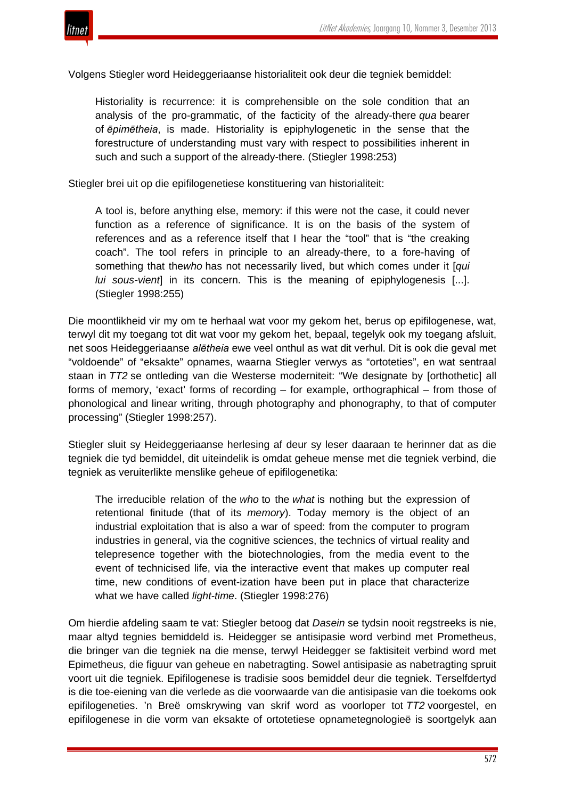

Volgens Stiegler word Heideggeriaanse historialiteit ook deur die tegniek bemiddel:

Historiality is recurrence: it is comprehensible on the sole condition that an analysis of the pro-grammatic, of the facticity of the already-there *qua* bearer of *ēpimētheia*, is made. Historiality is epiphylogenetic in the sense that the forestructure of understanding must vary with respect to possibilities inherent in such and such a support of the already-there. (Stiegler 1998:253)

Stiegler brei uit op die epifilogenetiese konstituering van historialiteit:

A tool is, before anything else, memory: if this were not the case, it could never function as a reference of significance. It is on the basis of the system of references and as a reference itself that I hear the "tool" that is "the creaking coach". The tool refers in principle to an already-there, to a fore-having of something that the*who* has not necessarily lived, but which comes under it [*qui lui sous-vient*] in its concern. This is the meaning of epiphylogenesis [...]. (Stiegler 1998:255)

Die moontlikheid vir my om te herhaal wat voor my gekom het, berus op epifilogenese, wat, terwyl dit my toegang tot dit wat voor my gekom het, bepaal, tegelyk ook my toegang afsluit, net soos Heideggeriaanse *alētheia* ewe veel onthul as wat dit verhul. Dit is ook die geval met "voldoende" of "eksakte" opnames, waarna Stiegler verwys as "ortoteties", en wat sentraal staan in *TT2* se ontleding van die Westerse moderniteit: "We designate by [orthothetic] all forms of memory, 'exact' forms of recording – for example, orthographical – from those of phonological and linear writing, through photography and phonography, to that of computer processing" (Stiegler 1998:257).

Stiegler sluit sy Heideggeriaanse herlesing af deur sy leser daaraan te herinner dat as die tegniek die tyd bemiddel, dit uiteindelik is omdat geheue mense met die tegniek verbind, die tegniek as veruiterlikte menslike geheue of epifilogenetika:

The irreducible relation of the *who* to the *what* is nothing but the expression of retentional finitude (that of its *memory*). Today memory is the object of an industrial exploitation that is also a war of speed: from the computer to program industries in general, via the cognitive sciences, the technics of virtual reality and telepresence together with the biotechnologies, from the media event to the event of technicised life, via the interactive event that makes up computer real time, new conditions of event-ization have been put in place that characterize what we have called *light-time*. (Stiegler 1998:276)

Om hierdie afdeling saam te vat: Stiegler betoog dat *Dasein* se tydsin nooit regstreeks is nie, maar altyd tegnies bemiddeld is. Heidegger se antisipasie word verbind met Prometheus, die bringer van die tegniek na die mense, terwyl Heidegger se faktisiteit verbind word met Epimetheus, die figuur van geheue en nabetragting. Sowel antisipasie as nabetragting spruit voort uit die tegniek. Epifilogenese is tradisie soos bemiddel deur die tegniek. Terselfdertyd is die toe-eiening van die verlede as die voorwaarde van die antisipasie van die toekoms ook epifilogeneties. 'n Breë omskrywing van skrif word as voorloper tot *TT2* voorgestel, en epifilogenese in die vorm van eksakte of ortotetiese opnametegnologieë is soortgelyk aan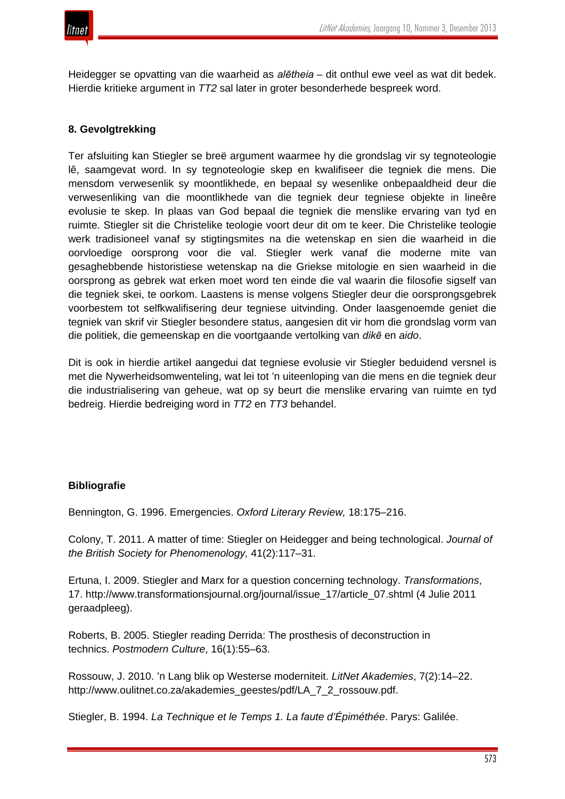Heidegger se opvatting van die waarheid as *alētheia* – dit onthul ewe veel as wat dit bedek. Hierdie kritieke argument in *TT2* sal later in groter besonderhede bespreek word.

# **8. Gevolgtrekking**

Ter afsluiting kan Stiegler se breë argument waarmee hy die grondslag vir sy tegnoteologie lê, saamgevat word. In sy tegnoteologie skep en kwalifiseer die tegniek die mens. Die mensdom verwesenlik sy moontlikhede, en bepaal sy wesenlike onbepaaldheid deur die verwesenliking van die moontlikhede van die tegniek deur tegniese objekte in lineêre evolusie te skep. In plaas van God bepaal die tegniek die menslike ervaring van tyd en ruimte. Stiegler sit die Christelike teologie voort deur dit om te keer. Die Christelike teologie werk tradisioneel vanaf sy stigtingsmites na die wetenskap en sien die waarheid in die oorvloedige oorsprong voor die val. Stiegler werk vanaf die moderne mite van gesaghebbende historistiese wetenskap na die Griekse mitologie en sien waarheid in die oorsprong as gebrek wat erken moet word ten einde die val waarin die filosofie sigself van die tegniek skei, te oorkom. Laastens is mense volgens Stiegler deur die oorsprongsgebrek voorbestem tot selfkwalifisering deur tegniese uitvinding. Onder laasgenoemde geniet die tegniek van skrif vir Stiegler besondere status, aangesien dit vir hom die grondslag vorm van die politiek, die gemeenskap en die voortgaande vertolking van *dikē* en *aido*.

Dit is ook in hierdie artikel aangedui dat tegniese evolusie vir Stiegler beduidend versnel is met die Nywerheidsomwenteling, wat lei tot 'n uiteenloping van die mens en die tegniek deur die industrialisering van geheue, wat op sy beurt die menslike ervaring van ruimte en tyd bedreig. Hierdie bedreiging word in *TT2* en *TT3* behandel.

## **Bibliografie**

Bennington, G. 1996. Emergencies. *Oxford Literary Review,* 18:175–216.

Colony, T. 2011. A matter of time: Stiegler on Heidegger and being technological. *Journal of the British Society for Phenomenology,* 41(2):117–31.

Ertuna, I. 2009. Stiegler and Marx for a question concerning technology. *Transformations*, 17. http://www.transformationsjournal.org/journal/issue\_17/article\_07.shtml (4 Julie 2011 geraadpleeg).

Roberts, B. 2005. Stiegler reading Derrida: The prosthesis of deconstruction in technics. *Postmodern Culture*, 16(1):55–63.

Rossouw, J. 2010. 'n Lang blik op Westerse moderniteit. *LitNet Akademies*, 7(2):14–22. http://www.oulitnet.co.za/akademies\_geestes/pdf/LA\_7\_2\_rossouw.pdf.

Stiegler, B. 1994. *La Technique et le Temps 1. La faute d'Épiméthée*. Parys: Galilée.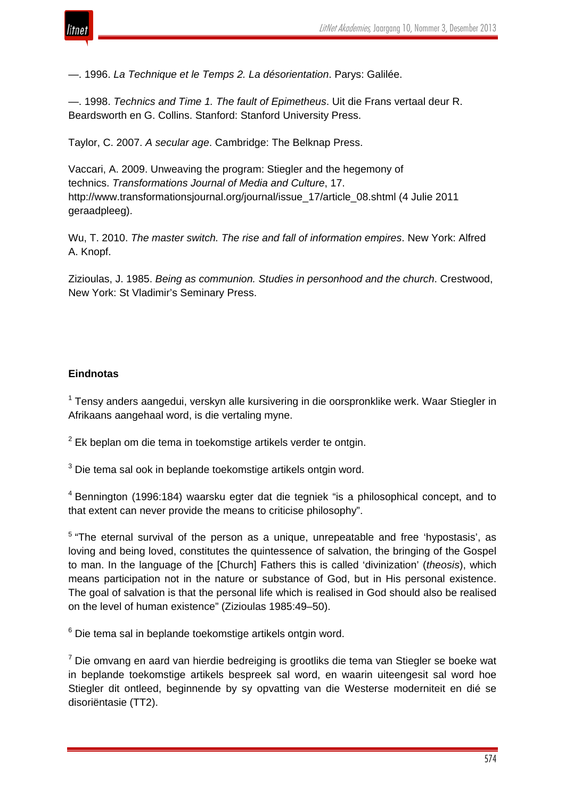

—. 1996. *La Technique et le Temps 2. La désorientation*. Parys: Galilée.

—. 1998. *Technics and Time 1. The fault of Epimetheus*. Uit die Frans vertaal deur R. Beardsworth en G. Collins. Stanford: Stanford University Press.

Taylor, C. 2007. *A secular age*. Cambridge: The Belknap Press.

Vaccari, A. 2009. Unweaving the program: Stiegler and the hegemony of technics. *Transformations Journal of Media and Culture*, 17. http://www.transformationsjournal.org/journal/issue\_17/article\_08.shtml (4 Julie 2011 geraadpleeg).

Wu, T. 2010. *The master switch. The rise and fall of information empires*. New York: Alfred A. Knopf.

Zizioulas, J. 1985. *Being as communion. Studies in personhood and the church*. Crestwood, New York: St Vladimir's Seminary Press.

## **Eindnotas**

<sup>1</sup> Tensy anders aangedui, verskyn alle kursivering in die oorspronklike werk. Waar Stiegler in Afrikaans aangehaal word, is die vertaling myne.

 $2$  Ek beplan om die tema in toekomstige artikels verder te ontgin.

<sup>3</sup> Die tema sal ook in beplande toekomstige artikels ontgin word.

<sup>4</sup> Bennington (1996:184) waarsku egter dat die tegniek "is a philosophical concept, and to that extent can never provide the means to criticise philosophy".

<sup>5</sup> "The eternal survival of the person as a unique, unrepeatable and free 'hypostasis', as loving and being loved, constitutes the quintessence of salvation, the bringing of the Gospel to man. In the language of the [Church] Fathers this is called 'divinization' (*theosis*), which means participation not in the nature or substance of God, but in His personal existence. The goal of salvation is that the personal life which is realised in God should also be realised on the level of human existence" (Zizioulas 1985:49–50).

<sup>6</sup> Die tema sal in beplande toekomstige artikels ontgin word.

 $7$  Die omvang en aard van hierdie bedreiging is grootliks die tema van Stiegler se boeke wat in beplande toekomstige artikels bespreek sal word, en waarin uiteengesit sal word hoe Stiegler dit ontleed, beginnende by sy opvatting van die Westerse moderniteit en dié se disoriëntasie (TT2).